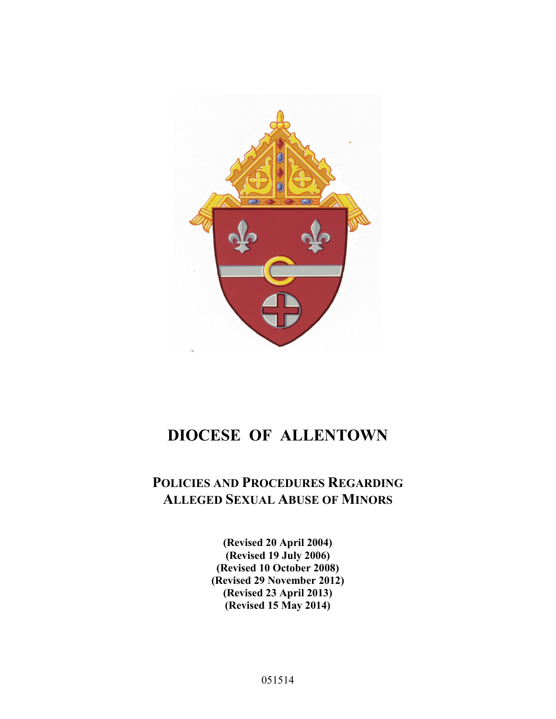

# **DIOCESE OF ALLENTOWN**

# **POLICIES AND PROCEDURES REGARDING ALLEGED SEXUAL ABUSE OF MINORS**

**(Revised 20 April 2004) (Revised 19 July 2006) (Revised 10 October 2008) (Revised 29 November 2012) (Revised 23 April 2013) (Revised 15 May 2014)** 

051514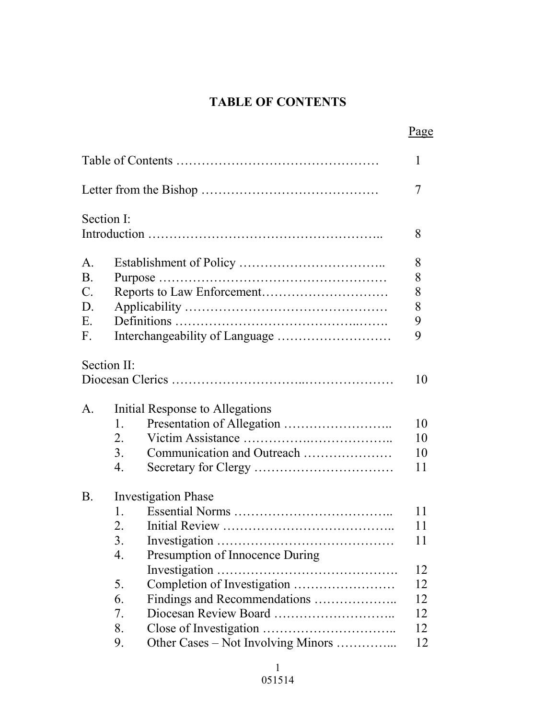# **TABLE OF CONTENTS**

|                |                            |                                    | Page   |
|----------------|----------------------------|------------------------------------|--------|
|                |                            |                                    | 1      |
|                |                            |                                    | 7      |
|                | Section I:                 |                                    |        |
|                |                            |                                    | 8      |
| $\mathbf{A}$ . |                            |                                    | 8      |
| <b>B.</b>      |                            |                                    | 8      |
| $C$ .          |                            |                                    | 8      |
| D.             |                            |                                    |        |
| E.             |                            |                                    | 8<br>9 |
| F.             |                            |                                    | 9      |
|                |                            |                                    |        |
|                | Section II:                |                                    | 10     |
|                |                            |                                    |        |
| $A_{\cdot}$    |                            | Initial Response to Allegations    |        |
|                | 1.                         |                                    | 10     |
|                | 2.                         |                                    | 10     |
|                | 3.                         | Communication and Outreach         | 10     |
|                | $\overline{4}$ .           |                                    | 11     |
|                |                            |                                    |        |
| <b>B.</b>      | <b>Investigation Phase</b> |                                    |        |
|                | $\mathbf{1}$ .             |                                    | 11     |
|                | 2.                         |                                    | 11     |
|                | 3.                         |                                    | 11     |
|                | $\overline{4}$ .           | Presumption of Innocence During    |        |
|                |                            |                                    | 12     |
|                | 5.                         |                                    | 12     |
|                | 6.                         | Findings and Recommendations       | 12     |
|                | 7.                         |                                    | 12     |
|                | 8.                         |                                    | 12     |
|                | 9.                         | Other Cases – Not Involving Minors | 12     |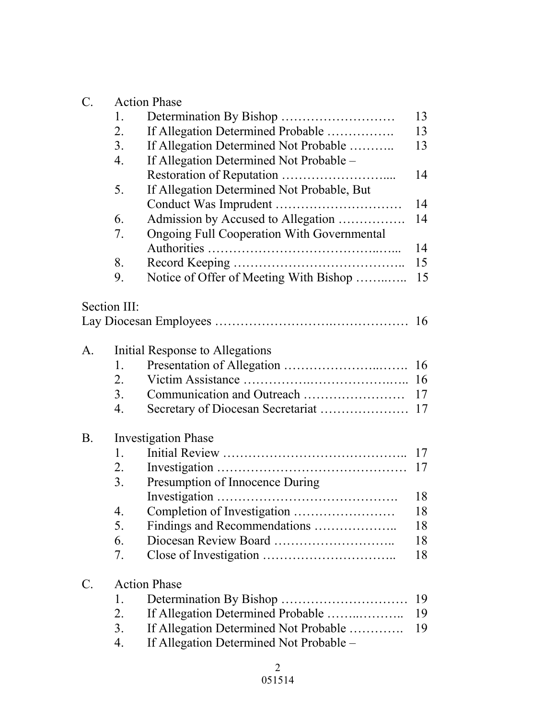| C. | <b>Action Phase</b>        |                                                   |    |  |  |
|----|----------------------------|---------------------------------------------------|----|--|--|
|    | 1.                         |                                                   | 13 |  |  |
|    | 2.                         | If Allegation Determined Probable                 | 13 |  |  |
|    | 3.                         | If Allegation Determined Not Probable             | 13 |  |  |
|    | $\overline{4}$ .           | If Allegation Determined Not Probable -           |    |  |  |
|    |                            |                                                   | 14 |  |  |
|    | 5.                         | If Allegation Determined Not Probable, But        |    |  |  |
|    |                            |                                                   | 14 |  |  |
|    | 6.                         | Admission by Accused to Allegation                | 14 |  |  |
|    | 7.                         | <b>Ongoing Full Cooperation With Governmental</b> |    |  |  |
|    |                            |                                                   | 14 |  |  |
|    | 8.                         |                                                   | 15 |  |  |
|    | 9.                         | Notice of Offer of Meeting With Bishop            | 15 |  |  |
|    |                            |                                                   |    |  |  |
|    | Section III:               |                                                   |    |  |  |
|    |                            |                                                   |    |  |  |
|    |                            |                                                   |    |  |  |
| A. |                            | Initial Response to Allegations                   |    |  |  |
|    | 1.                         |                                                   | 16 |  |  |
|    | 2.                         |                                                   |    |  |  |
|    | 3 <sub>1</sub>             |                                                   | 17 |  |  |
|    | 4.                         |                                                   |    |  |  |
| Β. | <b>Investigation Phase</b> |                                                   |    |  |  |
|    | 1.                         |                                                   | 17 |  |  |
|    | 2.                         |                                                   | 17 |  |  |
|    | 3.                         | Presumption of Innocence During                   |    |  |  |
|    |                            |                                                   | 18 |  |  |
|    | 4.                         |                                                   | 18 |  |  |
|    | 5.                         | Findings and Recommendations                      | 18 |  |  |
|    | 6.                         |                                                   | 18 |  |  |
|    | 7.                         |                                                   | 18 |  |  |
| C. | <b>Action Phase</b>        |                                                   |    |  |  |
|    | 1.                         |                                                   | 19 |  |  |
|    | 2.                         | If Allegation Determined Probable                 | 19 |  |  |
|    | 3.                         | If Allegation Determined Not Probable             | 19 |  |  |
|    | 4.                         | If Allegation Determined Not Probable –           |    |  |  |
|    |                            |                                                   |    |  |  |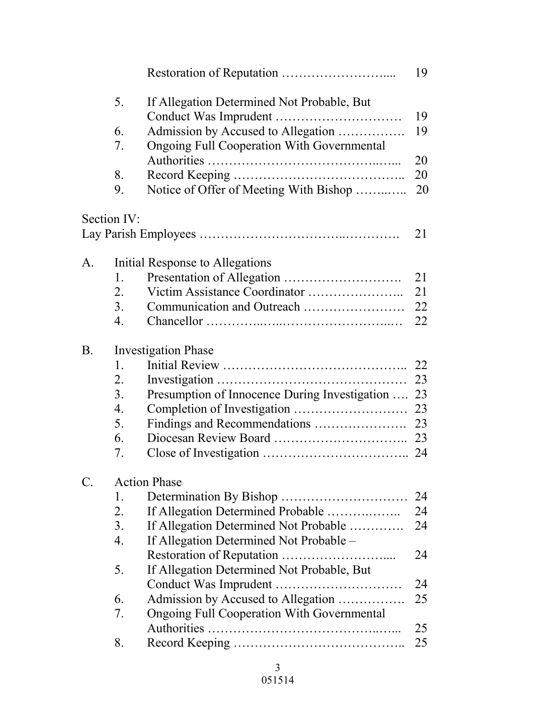|               |                            |                                                   | 19 |  |
|---------------|----------------------------|---------------------------------------------------|----|--|
|               | 5.                         | If Allegation Determined Not Probable, But        | 19 |  |
|               | 6.                         | Admission by Accused to Allegation                | 19 |  |
|               | 7.                         | <b>Ongoing Full Cooperation With Governmental</b> |    |  |
|               |                            |                                                   | 20 |  |
|               | 8.                         |                                                   | 20 |  |
|               | 9.                         | Notice of Offer of Meeting With Bishop            | 20 |  |
|               | Section IV:                |                                                   |    |  |
|               |                            |                                                   | 21 |  |
| A.            |                            | Initial Response to Allegations                   |    |  |
|               | 1.                         |                                                   | 21 |  |
|               | 2.                         |                                                   | 21 |  |
|               | 3 <sub>1</sub>             |                                                   | 22 |  |
|               | 4.                         |                                                   | 22 |  |
| <b>B</b> .    | <b>Investigation Phase</b> |                                                   |    |  |
|               | 1.                         |                                                   | 22 |  |
|               | 2.                         |                                                   | 23 |  |
|               | 3.                         | Presumption of Innocence During Investigation     | 23 |  |
|               | 4.                         |                                                   | 23 |  |
|               | 5.                         |                                                   | 23 |  |
|               | 6.                         |                                                   | 23 |  |
|               | 7.                         |                                                   |    |  |
| $\mathcal{C}$ | <b>Action Phase</b>        |                                                   |    |  |
|               | 1.                         |                                                   | 24 |  |
|               | 2.                         | If Allegation Determined Probable                 | 24 |  |
|               | 3.                         | If Allegation Determined Not Probable             | 24 |  |
|               | $\overline{4}$ .           | If Allegation Determined Not Probable –           |    |  |
|               |                            |                                                   | 24 |  |
|               | 5.                         | If Allegation Determined Not Probable, But        |    |  |
|               |                            |                                                   | 24 |  |
|               | 6.                         | Admission by Accused to Allegation                | 25 |  |
|               | 7.                         | <b>Ongoing Full Cooperation With Governmental</b> |    |  |
|               |                            |                                                   | 25 |  |
|               | 8.                         |                                                   | 25 |  |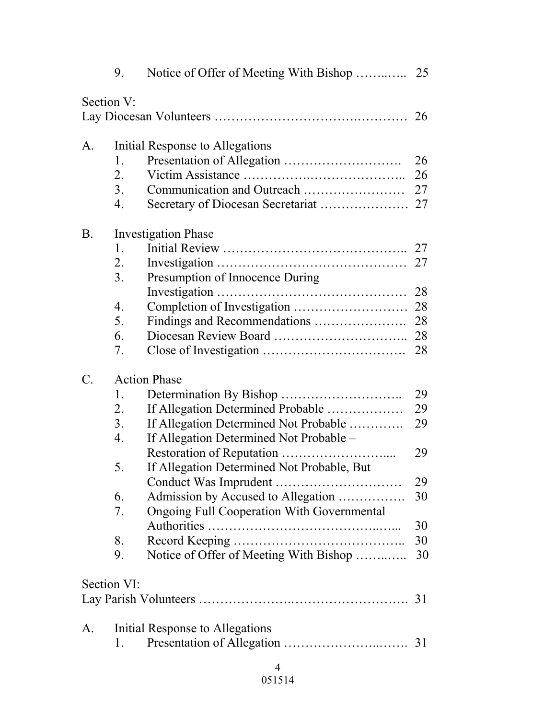|                 | 9.                         |                                                   |    |
|-----------------|----------------------------|---------------------------------------------------|----|
| Section V:      |                            |                                                   |    |
|                 |                            |                                                   | 26 |
| A.              |                            | Initial Response to Allegations                   |    |
|                 | 1.                         |                                                   | 26 |
|                 | 2.                         |                                                   | 26 |
|                 | 3 <sub>1</sub>             |                                                   |    |
|                 | 4.                         |                                                   |    |
| <b>B</b> .      | <b>Investigation Phase</b> |                                                   |    |
|                 | 1.                         |                                                   | 27 |
|                 | 2.                         |                                                   | 27 |
|                 | 3.                         | Presumption of Innocence During                   |    |
|                 |                            |                                                   |    |
|                 | 4.                         |                                                   |    |
|                 | 5.                         |                                                   | 28 |
|                 | 6.                         |                                                   |    |
|                 | 7.                         |                                                   | 28 |
| $\mathcal{C}$ . | <b>Action Phase</b>        |                                                   |    |
|                 | 1.                         |                                                   | 29 |
|                 | 2.                         | If Allegation Determined Probable                 | 29 |
|                 | 3.                         | If Allegation Determined Not Probable             | 29 |
|                 | 4.                         | If Allegation Determined Not Probable -           |    |
|                 |                            |                                                   | 29 |
|                 | 5                          | If Allegation Determined Not Probable, But        |    |
|                 |                            |                                                   | 29 |
|                 | 6.                         | Admission by Accused to Allegation                | 30 |
|                 | 7.                         | <b>Ongoing Full Cooperation With Governmental</b> |    |
|                 |                            |                                                   | 30 |
|                 | 8.                         |                                                   | 30 |
|                 | 9.                         | Notice of Offer of Meeting With Bishop            | 30 |
| Section VI:     |                            |                                                   |    |
|                 |                            |                                                   |    |
| A.              |                            | Initial Response to Allegations                   |    |
|                 | 1.                         |                                                   |    |
|                 |                            | 4                                                 |    |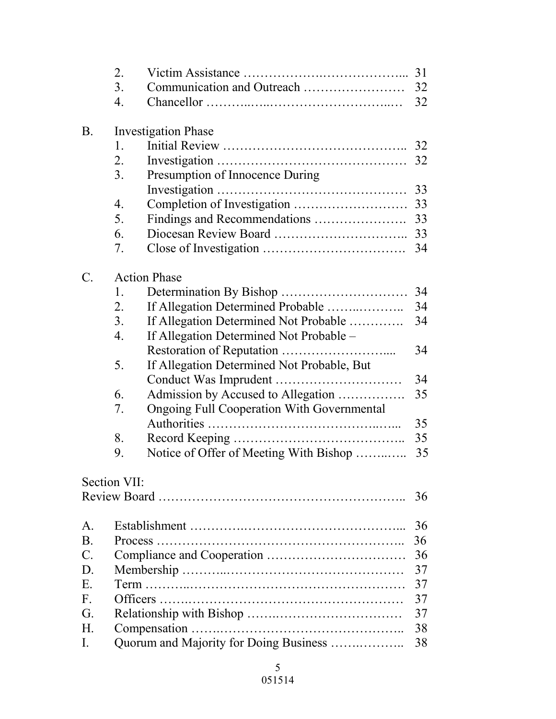|                 | 2.                         |                                                   |    |  |
|-----------------|----------------------------|---------------------------------------------------|----|--|
|                 | 3.                         |                                                   | 32 |  |
|                 | 4.                         |                                                   | 32 |  |
| <b>B.</b>       | <b>Investigation Phase</b> |                                                   |    |  |
|                 | 1.                         |                                                   |    |  |
|                 | 2.                         |                                                   | 32 |  |
|                 | 3.                         | Presumption of Innocence During                   |    |  |
|                 |                            |                                                   | 33 |  |
|                 | $\overline{4}$ .           |                                                   | 33 |  |
|                 | 5.                         |                                                   | 33 |  |
|                 | 6.                         |                                                   |    |  |
|                 | 7.                         |                                                   | 34 |  |
| $\mathcal{C}$ . |                            | <b>Action Phase</b>                               |    |  |
|                 | 1.                         |                                                   | 34 |  |
|                 | 2.                         | If Allegation Determined Probable                 | 34 |  |
|                 | 3.                         | If Allegation Determined Not Probable             | 34 |  |
|                 | $\overline{4}$ .           | If Allegation Determined Not Probable -           |    |  |
|                 |                            |                                                   | 34 |  |
|                 | 5.                         | If Allegation Determined Not Probable, But        |    |  |
|                 |                            |                                                   | 34 |  |
|                 | 6.                         | Admission by Accused to Allegation                | 35 |  |
|                 | 7.                         | <b>Ongoing Full Cooperation With Governmental</b> |    |  |
|                 |                            |                                                   | 35 |  |
|                 | 8.                         |                                                   | 35 |  |
|                 | 9.                         | Notice of Offer of Meeting With Bishop            | 35 |  |
|                 | Section VII:               |                                                   |    |  |
|                 |                            |                                                   | 36 |  |
| A.              |                            |                                                   | 36 |  |
| B.              |                            |                                                   | 36 |  |
| $\mathcal{C}$ . |                            |                                                   | 36 |  |
| D.              |                            |                                                   | 37 |  |
| Е.              | 37                         |                                                   |    |  |
| F.              |                            |                                                   | 37 |  |
| G.              |                            |                                                   | 37 |  |
| Н.              |                            |                                                   | 38 |  |
| I.              |                            | Quorum and Majority for Doing Business            | 38 |  |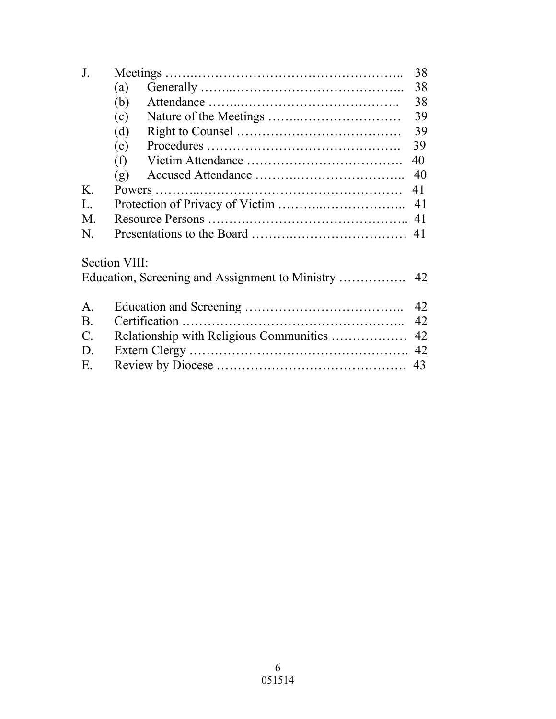| J.              |               | 38 |
|-----------------|---------------|----|
|                 | (a)           | 38 |
|                 | (b)           | 38 |
|                 | (c)           | 39 |
|                 | (d)           | 39 |
|                 | (e)           | 39 |
|                 | (f)           | 40 |
|                 | (g)           | 40 |
| $K_{\cdot}$     |               | 41 |
| L.              |               | 41 |
| M.              |               |    |
| N.              |               |    |
|                 | Section VIII: |    |
|                 |               |    |
| $\mathsf{A}$ .  |               | 42 |
| <b>B</b> .      |               | 42 |
| $\mathcal{C}$ . |               | 42 |
| D.              |               |    |
| E.              |               |    |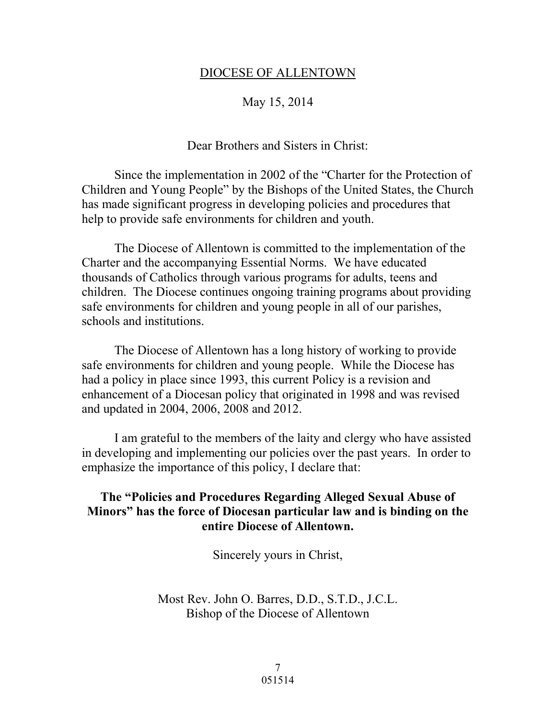#### DIOCESE OF ALLENTOWN

#### May 15, 2014

#### Dear Brothers and Sisters in Christ:

 Since the implementation in 2002 of the "Charter for the Protection of Children and Young People" by the Bishops of the United States, the Church has made significant progress in developing policies and procedures that help to provide safe environments for children and youth.

 The Diocese of Allentown is committed to the implementation of the Charter and the accompanying Essential Norms. We have educated thousands of Catholics through various programs for adults, teens and children. The Diocese continues ongoing training programs about providing safe environments for children and young people in all of our parishes, schools and institutions.

 The Diocese of Allentown has a long history of working to provide safe environments for children and young people. While the Diocese has had a policy in place since 1993, this current Policy is a revision and enhancement of a Diocesan policy that originated in 1998 and was revised and updated in 2004, 2006, 2008 and 2012.

 I am grateful to the members of the laity and clergy who have assisted in developing and implementing our policies over the past years. In order to emphasize the importance of this policy, I declare that:

#### **The "Policies and Procedures Regarding Alleged Sexual Abuse of Minors" has the force of Diocesan particular law and is binding on the entire Diocese of Allentown.**

Sincerely yours in Christ,

Most Rev. John O. Barres, D.D., S.T.D., J.C.L. Bishop of the Diocese of Allentown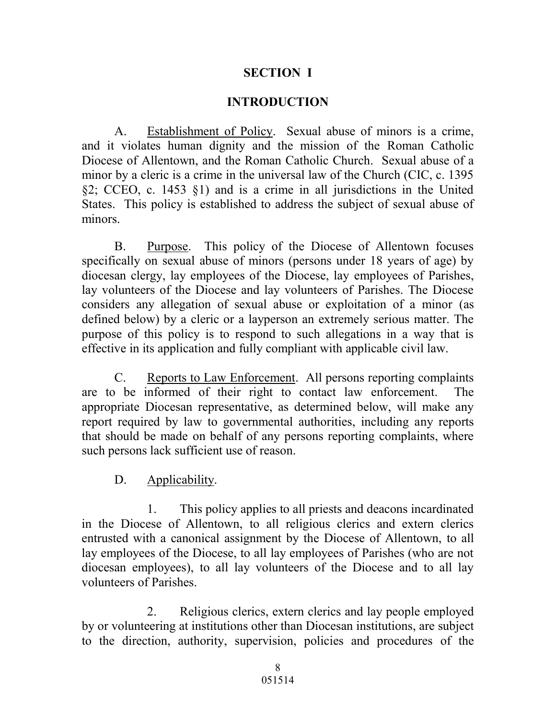#### **SECTION I**

#### **INTRODUCTION**

A. Establishment of Policy. Sexual abuse of minors is a crime, and it violates human dignity and the mission of the Roman Catholic Diocese of Allentown, and the Roman Catholic Church. Sexual abuse of a minor by a cleric is a crime in the universal law of the Church (CIC, c. 1395 §2; CCEO, c. 1453 §1) and is a crime in all jurisdictions in the United States. This policy is established to address the subject of sexual abuse of minors.

B. Purpose. This policy of the Diocese of Allentown focuses specifically on sexual abuse of minors (persons under 18 years of age) by diocesan clergy, lay employees of the Diocese, lay employees of Parishes, lay volunteers of the Diocese and lay volunteers of Parishes. The Diocese considers any allegation of sexual abuse or exploitation of a minor (as defined below) by a cleric or a layperson an extremely serious matter. The purpose of this policy is to respond to such allegations in a way that is effective in its application and fully compliant with applicable civil law.

C. Reports to Law Enforcement. All persons reporting complaints are to be informed of their right to contact law enforcement. The appropriate Diocesan representative, as determined below, will make any report required by law to governmental authorities, including any reports that should be made on behalf of any persons reporting complaints, where such persons lack sufficient use of reason.

D. Applicability.

1. This policy applies to all priests and deacons incardinated in the Diocese of Allentown, to all religious clerics and extern clerics entrusted with a canonical assignment by the Diocese of Allentown, to all lay employees of the Diocese, to all lay employees of Parishes (who are not diocesan employees), to all lay volunteers of the Diocese and to all lay volunteers of Parishes.

2. Religious clerics, extern clerics and lay people employed by or volunteering at institutions other than Diocesan institutions, are subject to the direction, authority, supervision, policies and procedures of the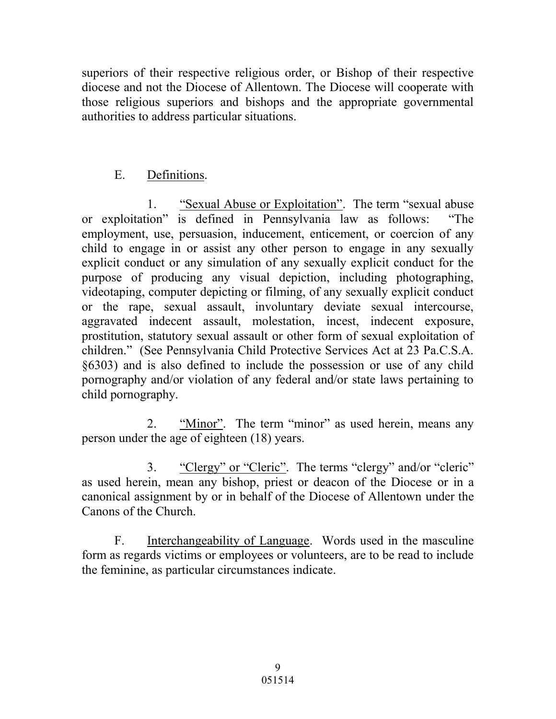superiors of their respective religious order, or Bishop of their respective diocese and not the Diocese of Allentown. The Diocese will cooperate with those religious superiors and bishops and the appropriate governmental authorities to address particular situations.

# E. Definitions.

1. "Sexual Abuse or Exploitation". The term "sexual abuse or exploitation" is defined in Pennsylvania law as follows: "The employment, use, persuasion, inducement, enticement, or coercion of any child to engage in or assist any other person to engage in any sexually explicit conduct or any simulation of any sexually explicit conduct for the purpose of producing any visual depiction, including photographing, videotaping, computer depicting or filming, of any sexually explicit conduct or the rape, sexual assault, involuntary deviate sexual intercourse, aggravated indecent assault, molestation, incest, indecent exposure, prostitution, statutory sexual assault or other form of sexual exploitation of children." (See Pennsylvania Child Protective Services Act at 23 Pa.C.S.A. §6303) and is also defined to include the possession or use of any child pornography and/or violation of any federal and/or state laws pertaining to child pornography.

2. "Minor". The term "minor" as used herein, means any person under the age of eighteen (18) years.

 3. "Clergy" or "Cleric". The terms "clergy" and/or "cleric" as used herein, mean any bishop, priest or deacon of the Diocese or in a canonical assignment by or in behalf of the Diocese of Allentown under the Canons of the Church.

 F. Interchangeability of Language. Words used in the masculine form as regards victims or employees or volunteers, are to be read to include the feminine, as particular circumstances indicate.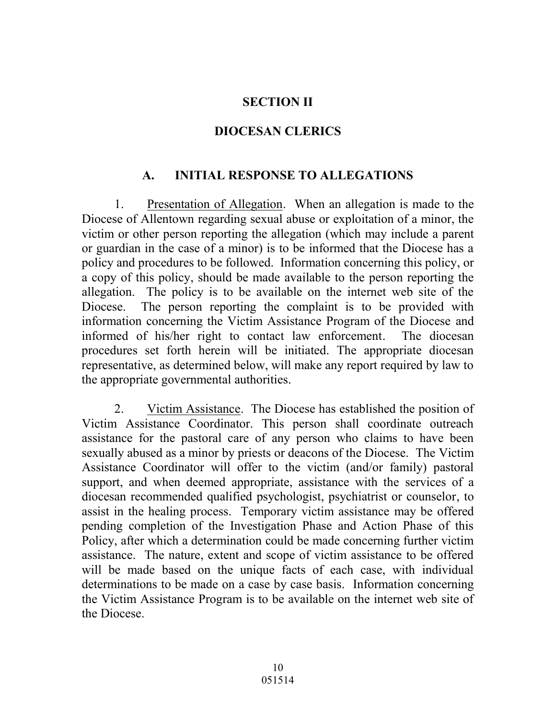### **SECTION II**

### **DIOCESAN CLERICS**

# **A. INITIAL RESPONSE TO ALLEGATIONS**

1. Presentation of Allegation. When an allegation is made to the Diocese of Allentown regarding sexual abuse or exploitation of a minor, the victim or other person reporting the allegation (which may include a parent or guardian in the case of a minor) is to be informed that the Diocese has a policy and procedures to be followed. Information concerning this policy, or a copy of this policy, should be made available to the person reporting the allegation. The policy is to be available on the internet web site of the Diocese. The person reporting the complaint is to be provided with information concerning the Victim Assistance Program of the Diocese and informed of his/her right to contact law enforcement. The diocesan procedures set forth herein will be initiated. The appropriate diocesan representative, as determined below, will make any report required by law to the appropriate governmental authorities.

2. Victim Assistance. The Diocese has established the position of Victim Assistance Coordinator. This person shall coordinate outreach assistance for the pastoral care of any person who claims to have been sexually abused as a minor by priests or deacons of the Diocese. The Victim Assistance Coordinator will offer to the victim (and/or family) pastoral support, and when deemed appropriate, assistance with the services of a diocesan recommended qualified psychologist, psychiatrist or counselor, to assist in the healing process. Temporary victim assistance may be offered pending completion of the Investigation Phase and Action Phase of this Policy, after which a determination could be made concerning further victim assistance. The nature, extent and scope of victim assistance to be offered will be made based on the unique facts of each case, with individual determinations to be made on a case by case basis. Information concerning the Victim Assistance Program is to be available on the internet web site of the Diocese.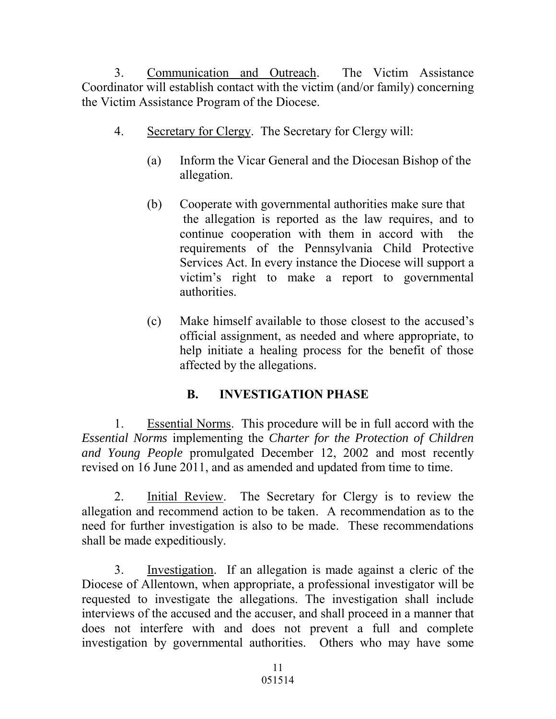3. Communication and Outreach. The Victim Assistance Coordinator will establish contact with the victim (and/or family) concerning the Victim Assistance Program of the Diocese.

- 4. Secretary for Clergy. The Secretary for Clergy will:
	- (a) Inform the Vicar General and the Diocesan Bishop of the allegation.
	- (b) Cooperate with governmental authorities make sure that the allegation is reported as the law requires, and to continue cooperation with them in accord with the requirements of the Pennsylvania Child Protective Services Act. In every instance the Diocese will support a victim's right to make a report to governmental authorities.
	- (c) Make himself available to those closest to the accused's official assignment, as needed and where appropriate, to help initiate a healing process for the benefit of those affected by the allegations.

# **B. INVESTIGATION PHASE**

1. Essential Norms. This procedure will be in full accord with the *Essential Norms* implementing the *Charter for the Protection of Children and Young People* promulgated December 12, 2002 and most recently revised on 16 June 2011, and as amended and updated from time to time.

2. Initial Review. The Secretary for Clergy is to review the allegation and recommend action to be taken. A recommendation as to the need for further investigation is also to be made. These recommendations shall be made expeditiously.

3. Investigation. If an allegation is made against a cleric of the Diocese of Allentown, when appropriate, a professional investigator will be requested to investigate the allegations. The investigation shall include interviews of the accused and the accuser, and shall proceed in a manner that does not interfere with and does not prevent a full and complete investigation by governmental authorities. Others who may have some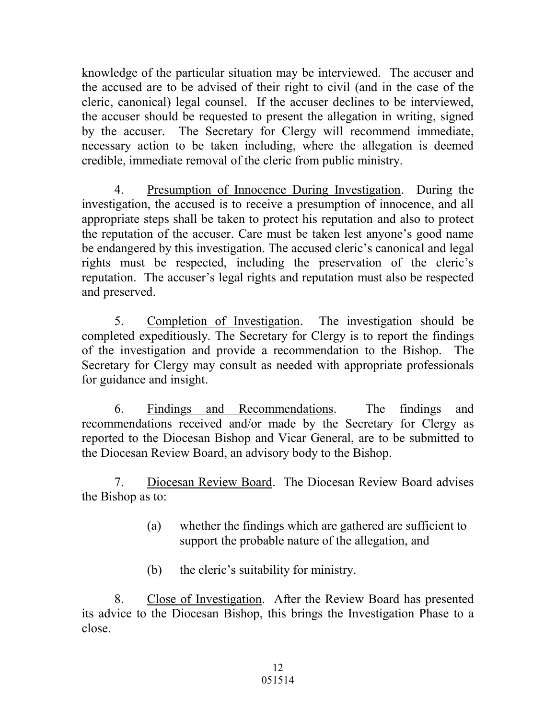knowledge of the particular situation may be interviewed. The accuser and the accused are to be advised of their right to civil (and in the case of the cleric, canonical) legal counsel. If the accuser declines to be interviewed, the accuser should be requested to present the allegation in writing, signed by the accuser. The Secretary for Clergy will recommend immediate, necessary action to be taken including, where the allegation is deemed credible, immediate removal of the cleric from public ministry.

4. Presumption of Innocence During Investigation. During the investigation, the accused is to receive a presumption of innocence, and all appropriate steps shall be taken to protect his reputation and also to protect the reputation of the accuser. Care must be taken lest anyone's good name be endangered by this investigation. The accused cleric's canonical and legal rights must be respected, including the preservation of the cleric's reputation. The accuser's legal rights and reputation must also be respected and preserved.

5. Completion of Investigation. The investigation should be completed expeditiously. The Secretary for Clergy is to report the findings of the investigation and provide a recommendation to the Bishop. The Secretary for Clergy may consult as needed with appropriate professionals for guidance and insight.

 6. Findings and Recommendations. The findings and recommendations received and/or made by the Secretary for Clergy as reported to the Diocesan Bishop and Vicar General, are to be submitted to the Diocesan Review Board, an advisory body to the Bishop.

7. Diocesan Review Board. The Diocesan Review Board advises the Bishop as to:

- (a) whether the findings which are gathered are sufficient to support the probable nature of the allegation, and
- (b) the cleric's suitability for ministry.

8. Close of Investigation. After the Review Board has presented its advice to the Diocesan Bishop, this brings the Investigation Phase to a close.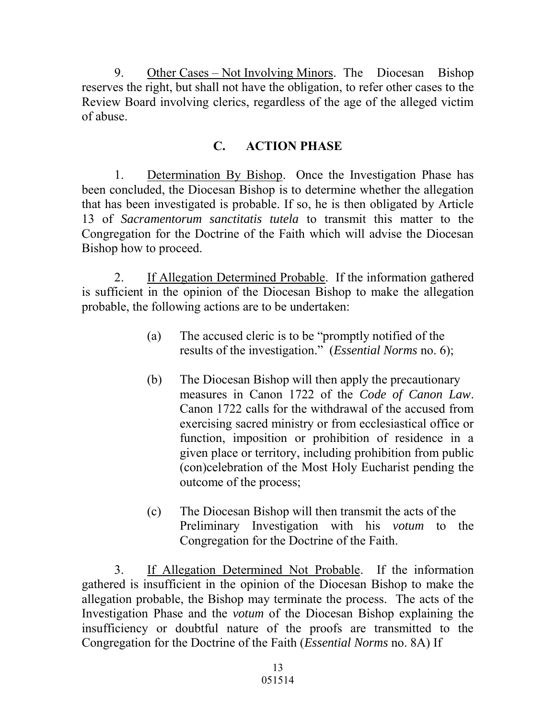9. Other Cases – Not Involving Minors. The Diocesan Bishop reserves the right, but shall not have the obligation, to refer other cases to the Review Board involving clerics, regardless of the age of the alleged victim of abuse.

# **C. ACTION PHASE**

1. Determination By Bishop. Once the Investigation Phase has been concluded, the Diocesan Bishop is to determine whether the allegation that has been investigated is probable. If so, he is then obligated by Article 13 of *Sacramentorum sanctitatis tutela* to transmit this matter to the Congregation for the Doctrine of the Faith which will advise the Diocesan Bishop how to proceed.

2. If Allegation Determined Probable. If the information gathered is sufficient in the opinion of the Diocesan Bishop to make the allegation probable, the following actions are to be undertaken:

- (a) The accused cleric is to be "promptly notified of the results of the investigation." (*Essential Norms* no. 6);
- (b) The Diocesan Bishop will then apply the precautionary measures in Canon 1722 of the *Code of Canon Law*. Canon 1722 calls for the withdrawal of the accused from exercising sacred ministry or from ecclesiastical office or function, imposition or prohibition of residence in a given place or territory, including prohibition from public (con)celebration of the Most Holy Eucharist pending the outcome of the process;
- (c) The Diocesan Bishop will then transmit the acts of the Preliminary Investigation with his *votum* to the Congregation for the Doctrine of the Faith.

3. If Allegation Determined Not Probable. If the information gathered is insufficient in the opinion of the Diocesan Bishop to make the allegation probable, the Bishop may terminate the process. The acts of the Investigation Phase and the *votum* of the Diocesan Bishop explaining the insufficiency or doubtful nature of the proofs are transmitted to the Congregation for the Doctrine of the Faith (*Essential Norms* no. 8A) If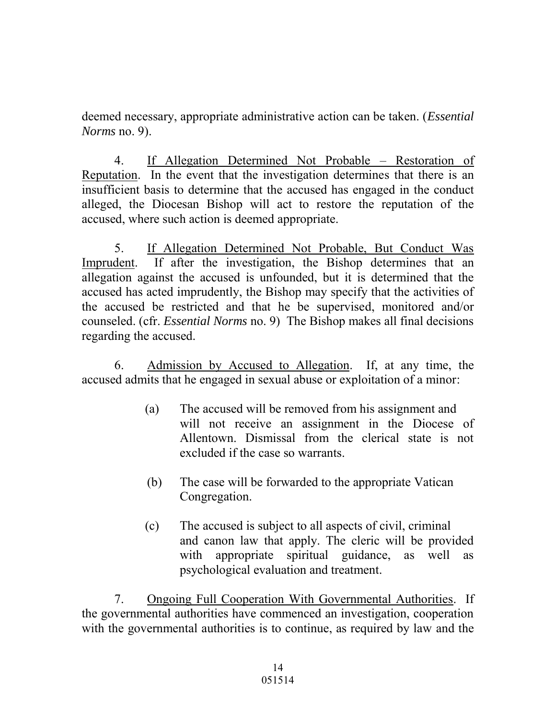deemed necessary, appropriate administrative action can be taken. (*Essential Norms* no. 9).

4. If Allegation Determined Not Probable – Restoration of Reputation. In the event that the investigation determines that there is an insufficient basis to determine that the accused has engaged in the conduct alleged, the Diocesan Bishop will act to restore the reputation of the accused, where such action is deemed appropriate.

5. If Allegation Determined Not Probable, But Conduct Was Imprudent. If after the investigation, the Bishop determines that an allegation against the accused is unfounded, but it is determined that the accused has acted imprudently, the Bishop may specify that the activities of the accused be restricted and that he be supervised, monitored and/or counseled. (cfr. *Essential Norms* no. 9) The Bishop makes all final decisions regarding the accused.

6. Admission by Accused to Allegation. If, at any time, the accused admits that he engaged in sexual abuse or exploitation of a minor:

- (a) The accused will be removed from his assignment and will not receive an assignment in the Diocese of Allentown. Dismissal from the clerical state is not excluded if the case so warrants.
- (b) The case will be forwarded to the appropriate Vatican Congregation.
- (c) The accused is subject to all aspects of civil, criminal and canon law that apply. The cleric will be provided with appropriate spiritual guidance, as well as psychological evaluation and treatment.

7. Ongoing Full Cooperation With Governmental Authorities. If the governmental authorities have commenced an investigation, cooperation with the governmental authorities is to continue, as required by law and the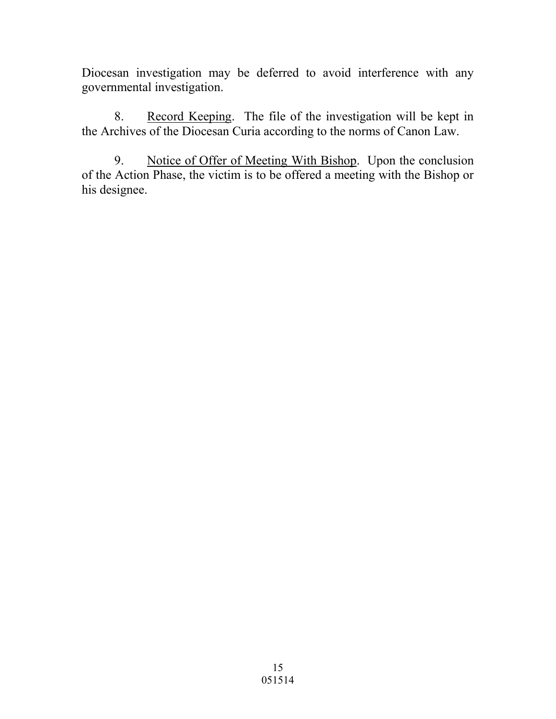Diocesan investigation may be deferred to avoid interference with any governmental investigation.

8. Record Keeping. The file of the investigation will be kept in the Archives of the Diocesan Curia according to the norms of Canon Law.

9. Notice of Offer of Meeting With Bishop. Upon the conclusion of the Action Phase, the victim is to be offered a meeting with the Bishop or his designee.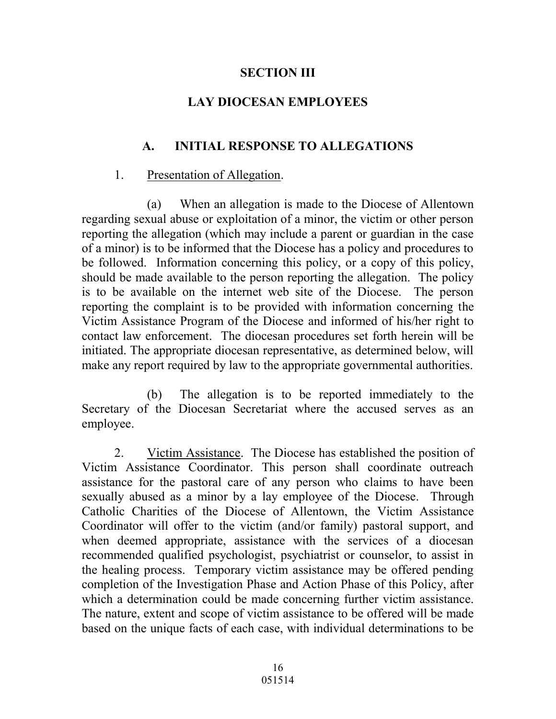#### **SECTION III**

### **LAY DIOCESAN EMPLOYEES**

# **A. INITIAL RESPONSE TO ALLEGATIONS**

#### 1. Presentation of Allegation.

(a) When an allegation is made to the Diocese of Allentown regarding sexual abuse or exploitation of a minor, the victim or other person reporting the allegation (which may include a parent or guardian in the case of a minor) is to be informed that the Diocese has a policy and procedures to be followed. Information concerning this policy, or a copy of this policy, should be made available to the person reporting the allegation. The policy is to be available on the internet web site of the Diocese. The person reporting the complaint is to be provided with information concerning the Victim Assistance Program of the Diocese and informed of his/her right to contact law enforcement. The diocesan procedures set forth herein will be initiated. The appropriate diocesan representative, as determined below, will make any report required by law to the appropriate governmental authorities.

 (b) The allegation is to be reported immediately to the Secretary of the Diocesan Secretariat where the accused serves as an employee.

2. Victim Assistance. The Diocese has established the position of Victim Assistance Coordinator. This person shall coordinate outreach assistance for the pastoral care of any person who claims to have been sexually abused as a minor by a lay employee of the Diocese. Through Catholic Charities of the Diocese of Allentown, the Victim Assistance Coordinator will offer to the victim (and/or family) pastoral support, and when deemed appropriate, assistance with the services of a diocesan recommended qualified psychologist, psychiatrist or counselor, to assist in the healing process. Temporary victim assistance may be offered pending completion of the Investigation Phase and Action Phase of this Policy, after which a determination could be made concerning further victim assistance. The nature, extent and scope of victim assistance to be offered will be made based on the unique facts of each case, with individual determinations to be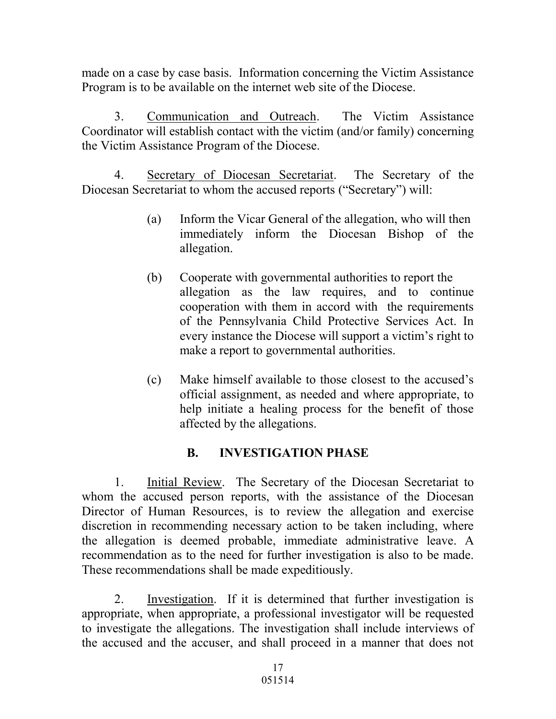made on a case by case basis. Information concerning the Victim Assistance Program is to be available on the internet web site of the Diocese.

3. Communication and Outreach. The Victim Assistance Coordinator will establish contact with the victim (and/or family) concerning the Victim Assistance Program of the Diocese.

4. Secretary of Diocesan Secretariat. The Secretary of the Diocesan Secretariat to whom the accused reports ("Secretary") will:

- (a) Inform the Vicar General of the allegation, who will then immediately inform the Diocesan Bishop of the allegation.
- (b) Cooperate with governmental authorities to report the allegation as the law requires, and to continue cooperation with them in accord with the requirements of the Pennsylvania Child Protective Services Act. In every instance the Diocese will support a victim's right to make a report to governmental authorities.
- (c) Make himself available to those closest to the accused's official assignment, as needed and where appropriate, to help initiate a healing process for the benefit of those affected by the allegations.

# **B. INVESTIGATION PHASE**

1. Initial Review. The Secretary of the Diocesan Secretariat to whom the accused person reports, with the assistance of the Diocesan Director of Human Resources, is to review the allegation and exercise discretion in recommending necessary action to be taken including, where the allegation is deemed probable, immediate administrative leave. A recommendation as to the need for further investigation is also to be made. These recommendations shall be made expeditiously.

2. Investigation. If it is determined that further investigation is appropriate, when appropriate, a professional investigator will be requested to investigate the allegations. The investigation shall include interviews of the accused and the accuser, and shall proceed in a manner that does not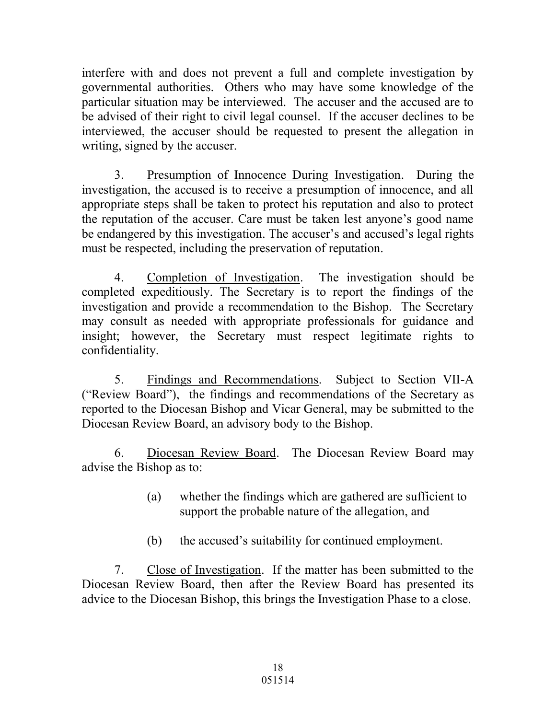interfere with and does not prevent a full and complete investigation by governmental authorities. Others who may have some knowledge of the particular situation may be interviewed. The accuser and the accused are to be advised of their right to civil legal counsel. If the accuser declines to be interviewed, the accuser should be requested to present the allegation in writing, signed by the accuser.

3. Presumption of Innocence During Investigation. During the investigation, the accused is to receive a presumption of innocence, and all appropriate steps shall be taken to protect his reputation and also to protect the reputation of the accuser. Care must be taken lest anyone's good name be endangered by this investigation. The accuser's and accused's legal rights must be respected, including the preservation of reputation.

4. Completion of Investigation. The investigation should be completed expeditiously. The Secretary is to report the findings of the investigation and provide a recommendation to the Bishop. The Secretary may consult as needed with appropriate professionals for guidance and insight; however, the Secretary must respect legitimate rights to confidentiality.

5. Findings and Recommendations. Subject to Section VII-A ("Review Board"), the findings and recommendations of the Secretary as reported to the Diocesan Bishop and Vicar General, may be submitted to the Diocesan Review Board, an advisory body to the Bishop.

6. Diocesan Review Board. The Diocesan Review Board may advise the Bishop as to:

- (a) whether the findings which are gathered are sufficient to support the probable nature of the allegation, and
- (b) the accused's suitability for continued employment.

7. Close of Investigation. If the matter has been submitted to the Diocesan Review Board, then after the Review Board has presented its advice to the Diocesan Bishop, this brings the Investigation Phase to a close.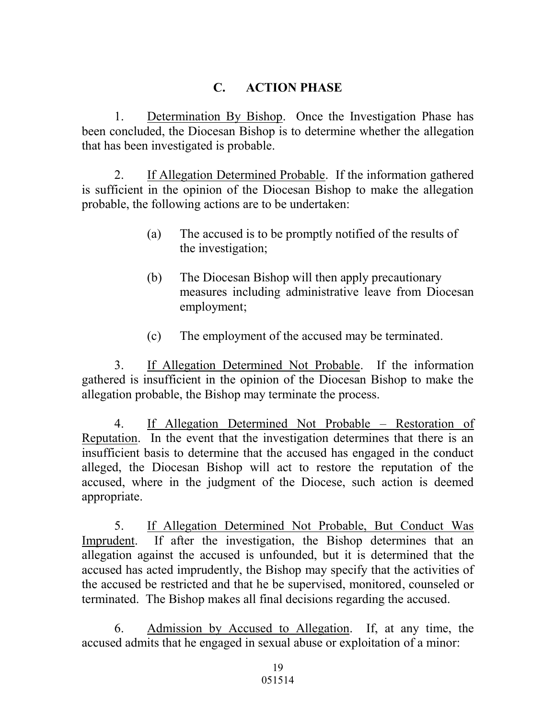# **C. ACTION PHASE**

1. Determination By Bishop. Once the Investigation Phase has been concluded, the Diocesan Bishop is to determine whether the allegation that has been investigated is probable.

2. If Allegation Determined Probable. If the information gathered is sufficient in the opinion of the Diocesan Bishop to make the allegation probable, the following actions are to be undertaken:

- (a) The accused is to be promptly notified of the results of the investigation;
- (b) The Diocesan Bishop will then apply precautionary measures including administrative leave from Diocesan employment;
- (c) The employment of the accused may be terminated.

3. If Allegation Determined Not Probable. If the information gathered is insufficient in the opinion of the Diocesan Bishop to make the allegation probable, the Bishop may terminate the process.

4. If Allegation Determined Not Probable – Restoration of Reputation. In the event that the investigation determines that there is an insufficient basis to determine that the accused has engaged in the conduct alleged, the Diocesan Bishop will act to restore the reputation of the accused, where in the judgment of the Diocese, such action is deemed appropriate.

5. If Allegation Determined Not Probable, But Conduct Was Imprudent. If after the investigation, the Bishop determines that an allegation against the accused is unfounded, but it is determined that the accused has acted imprudently, the Bishop may specify that the activities of the accused be restricted and that he be supervised, monitored, counseled or terminated. The Bishop makes all final decisions regarding the accused.

6. Admission by Accused to Allegation. If, at any time, the accused admits that he engaged in sexual abuse or exploitation of a minor: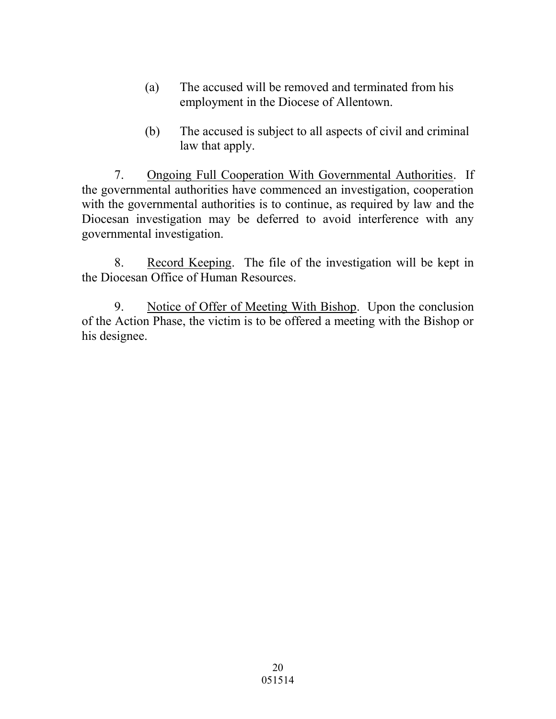- (a) The accused will be removed and terminated from his employment in the Diocese of Allentown.
- (b) The accused is subject to all aspects of civil and criminal law that apply.

7. Ongoing Full Cooperation With Governmental Authorities. If the governmental authorities have commenced an investigation, cooperation with the governmental authorities is to continue, as required by law and the Diocesan investigation may be deferred to avoid interference with any governmental investigation.

8. Record Keeping. The file of the investigation will be kept in the Diocesan Office of Human Resources.

9. Notice of Offer of Meeting With Bishop. Upon the conclusion of the Action Phase, the victim is to be offered a meeting with the Bishop or his designee.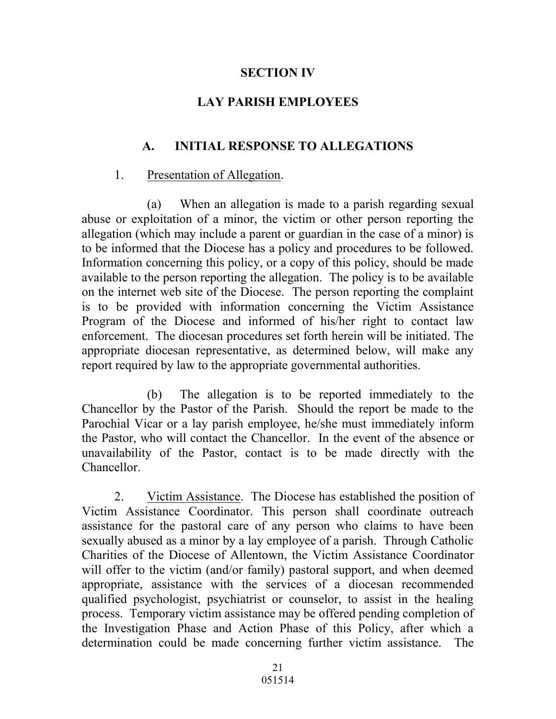#### **SECTION IV**

# **LAY PARISH EMPLOYEES**

# **A. INITIAL RESPONSE TO ALLEGATIONS**

### 1. Presentation of Allegation.

(a) When an allegation is made to a parish regarding sexual abuse or exploitation of a minor, the victim or other person reporting the allegation (which may include a parent or guardian in the case of a minor) is to be informed that the Diocese has a policy and procedures to be followed. Information concerning this policy, or a copy of this policy, should be made available to the person reporting the allegation. The policy is to be available on the internet web site of the Diocese. The person reporting the complaint is to be provided with information concerning the Victim Assistance Program of the Diocese and informed of his/her right to contact law enforcement. The diocesan procedures set forth herein will be initiated. The appropriate diocesan representative, as determined below, will make any report required by law to the appropriate governmental authorities.

 (b) The allegation is to be reported immediately to the Chancellor by the Pastor of the Parish. Should the report be made to the Parochial Vicar or a lay parish employee, he/she must immediately inform the Pastor, who will contact the Chancellor. In the event of the absence or unavailability of the Pastor, contact is to be made directly with the Chancellor.

2. Victim Assistance. The Diocese has established the position of Victim Assistance Coordinator. This person shall coordinate outreach assistance for the pastoral care of any person who claims to have been sexually abused as a minor by a lay employee of a parish. Through Catholic Charities of the Diocese of Allentown, the Victim Assistance Coordinator will offer to the victim (and/or family) pastoral support, and when deemed appropriate, assistance with the services of a diocesan recommended qualified psychologist, psychiatrist or counselor, to assist in the healing process. Temporary victim assistance may be offered pending completion of the Investigation Phase and Action Phase of this Policy, after which a determination could be made concerning further victim assistance. The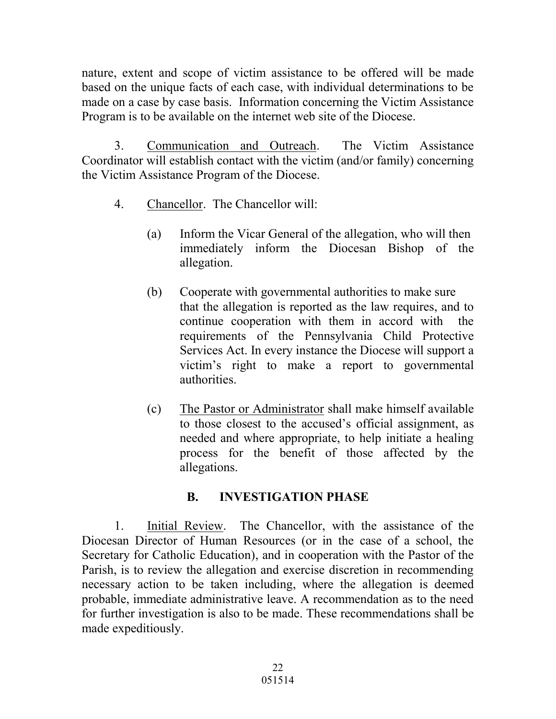nature, extent and scope of victim assistance to be offered will be made based on the unique facts of each case, with individual determinations to be made on a case by case basis. Information concerning the Victim Assistance Program is to be available on the internet web site of the Diocese.

3. Communication and Outreach. The Victim Assistance Coordinator will establish contact with the victim (and/or family) concerning the Victim Assistance Program of the Diocese.

- 4. Chancellor. The Chancellor will:
	- (a) Inform the Vicar General of the allegation, who will then immediately inform the Diocesan Bishop of the allegation.
	- (b) Cooperate with governmental authorities to make sure that the allegation is reported as the law requires, and to continue cooperation with them in accord with the requirements of the Pennsylvania Child Protective Services Act. In every instance the Diocese will support a victim's right to make a report to governmental authorities.
	- (c) The Pastor or Administrator shall make himself available to those closest to the accused's official assignment, as needed and where appropriate, to help initiate a healing process for the benefit of those affected by the allegations.

# **B. INVESTIGATION PHASE**

1. Initial Review. The Chancellor, with the assistance of the Diocesan Director of Human Resources (or in the case of a school, the Secretary for Catholic Education), and in cooperation with the Pastor of the Parish, is to review the allegation and exercise discretion in recommending necessary action to be taken including, where the allegation is deemed probable, immediate administrative leave. A recommendation as to the need for further investigation is also to be made. These recommendations shall be made expeditiously.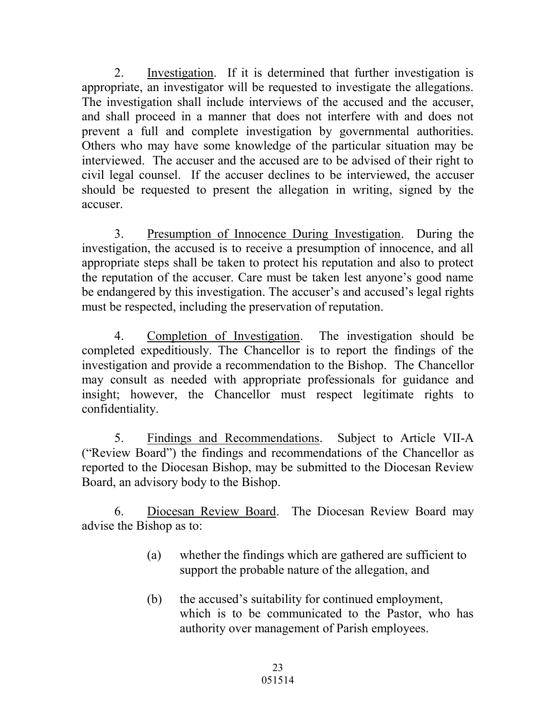2. Investigation. If it is determined that further investigation is appropriate, an investigator will be requested to investigate the allegations. The investigation shall include interviews of the accused and the accuser, and shall proceed in a manner that does not interfere with and does not prevent a full and complete investigation by governmental authorities. Others who may have some knowledge of the particular situation may be interviewed. The accuser and the accused are to be advised of their right to civil legal counsel. If the accuser declines to be interviewed, the accuser should be requested to present the allegation in writing, signed by the accuser.

3. Presumption of Innocence During Investigation. During the investigation, the accused is to receive a presumption of innocence, and all appropriate steps shall be taken to protect his reputation and also to protect the reputation of the accuser. Care must be taken lest anyone's good name be endangered by this investigation. The accuser's and accused's legal rights must be respected, including the preservation of reputation.

4. Completion of Investigation. The investigation should be completed expeditiously. The Chancellor is to report the findings of the investigation and provide a recommendation to the Bishop. The Chancellor may consult as needed with appropriate professionals for guidance and insight; however, the Chancellor must respect legitimate rights to confidentiality.

5. Findings and Recommendations. Subject to Article VII-A ("Review Board") the findings and recommendations of the Chancellor as reported to the Diocesan Bishop, may be submitted to the Diocesan Review Board, an advisory body to the Bishop.

6. Diocesan Review Board. The Diocesan Review Board may advise the Bishop as to:

- (a) whether the findings which are gathered are sufficient to support the probable nature of the allegation, and
- (b) the accused's suitability for continued employment, which is to be communicated to the Pastor, who has authority over management of Parish employees.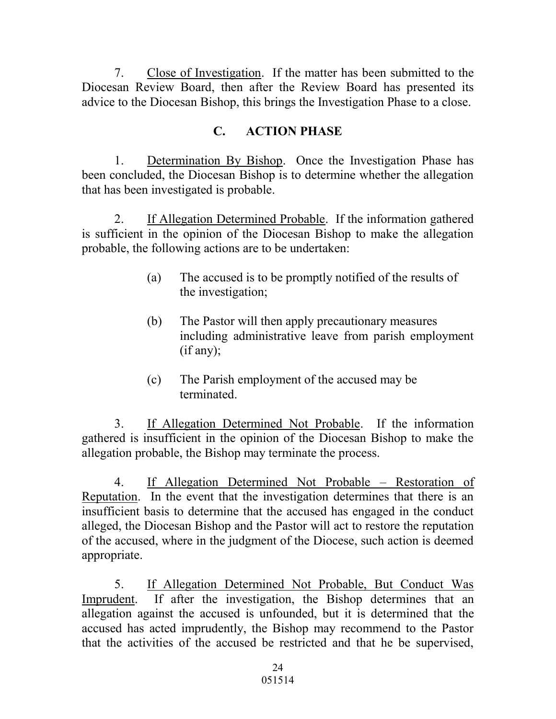7. Close of Investigation. If the matter has been submitted to the Diocesan Review Board, then after the Review Board has presented its advice to the Diocesan Bishop, this brings the Investigation Phase to a close.

# **C. ACTION PHASE**

1. Determination By Bishop. Once the Investigation Phase has been concluded, the Diocesan Bishop is to determine whether the allegation that has been investigated is probable.

2. If Allegation Determined Probable. If the information gathered is sufficient in the opinion of the Diocesan Bishop to make the allegation probable, the following actions are to be undertaken:

- (a) The accused is to be promptly notified of the results of the investigation;
- (b) The Pastor will then apply precautionary measures including administrative leave from parish employment (if any);
- (c) The Parish employment of the accused may be terminated.

3. If Allegation Determined Not Probable. If the information gathered is insufficient in the opinion of the Diocesan Bishop to make the allegation probable, the Bishop may terminate the process.

4. If Allegation Determined Not Probable – Restoration of Reputation. In the event that the investigation determines that there is an insufficient basis to determine that the accused has engaged in the conduct alleged, the Diocesan Bishop and the Pastor will act to restore the reputation of the accused, where in the judgment of the Diocese, such action is deemed appropriate.

5. If Allegation Determined Not Probable, But Conduct Was Imprudent. If after the investigation, the Bishop determines that an allegation against the accused is unfounded, but it is determined that the accused has acted imprudently, the Bishop may recommend to the Pastor that the activities of the accused be restricted and that he be supervised,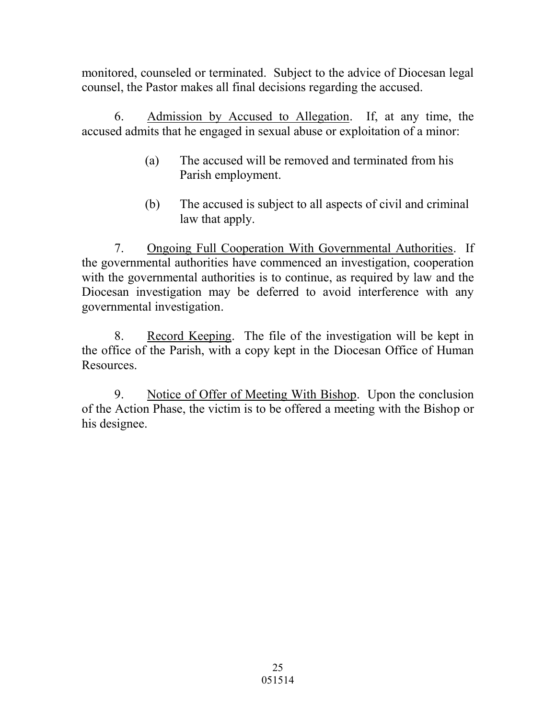monitored, counseled or terminated. Subject to the advice of Diocesan legal counsel, the Pastor makes all final decisions regarding the accused.

6. Admission by Accused to Allegation. If, at any time, the accused admits that he engaged in sexual abuse or exploitation of a minor:

- (a) The accused will be removed and terminated from his Parish employment.
- (b) The accused is subject to all aspects of civil and criminal law that apply.

7. Ongoing Full Cooperation With Governmental Authorities. If the governmental authorities have commenced an investigation, cooperation with the governmental authorities is to continue, as required by law and the Diocesan investigation may be deferred to avoid interference with any governmental investigation.

8. Record Keeping. The file of the investigation will be kept in the office of the Parish, with a copy kept in the Diocesan Office of Human Resources.

9. Notice of Offer of Meeting With Bishop. Upon the conclusion of the Action Phase, the victim is to be offered a meeting with the Bishop or his designee.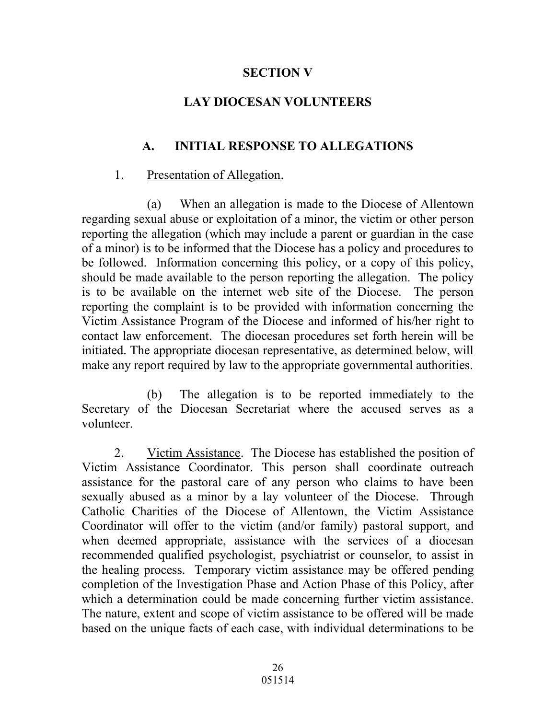### **SECTION V**

# **LAY DIOCESAN VOLUNTEERS**

# **A. INITIAL RESPONSE TO ALLEGATIONS**

### 1. Presentation of Allegation.

(a) When an allegation is made to the Diocese of Allentown regarding sexual abuse or exploitation of a minor, the victim or other person reporting the allegation (which may include a parent or guardian in the case of a minor) is to be informed that the Diocese has a policy and procedures to be followed. Information concerning this policy, or a copy of this policy, should be made available to the person reporting the allegation. The policy is to be available on the internet web site of the Diocese. The person reporting the complaint is to be provided with information concerning the Victim Assistance Program of the Diocese and informed of his/her right to contact law enforcement. The diocesan procedures set forth herein will be initiated. The appropriate diocesan representative, as determined below, will make any report required by law to the appropriate governmental authorities.

 (b) The allegation is to be reported immediately to the Secretary of the Diocesan Secretariat where the accused serves as a volunteer.

2. Victim Assistance. The Diocese has established the position of Victim Assistance Coordinator. This person shall coordinate outreach assistance for the pastoral care of any person who claims to have been sexually abused as a minor by a lay volunteer of the Diocese. Through Catholic Charities of the Diocese of Allentown, the Victim Assistance Coordinator will offer to the victim (and/or family) pastoral support, and when deemed appropriate, assistance with the services of a diocesan recommended qualified psychologist, psychiatrist or counselor, to assist in the healing process. Temporary victim assistance may be offered pending completion of the Investigation Phase and Action Phase of this Policy, after which a determination could be made concerning further victim assistance. The nature, extent and scope of victim assistance to be offered will be made based on the unique facts of each case, with individual determinations to be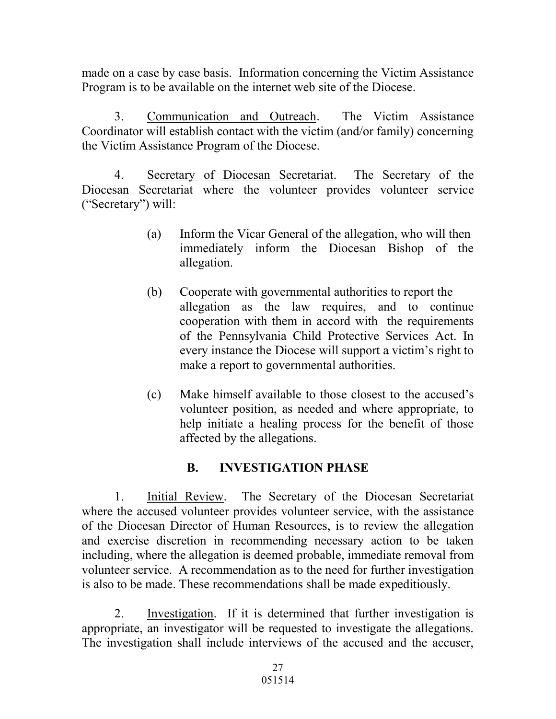made on a case by case basis. Information concerning the Victim Assistance Program is to be available on the internet web site of the Diocese.

3. Communication and Outreach. The Victim Assistance Coordinator will establish contact with the victim (and/or family) concerning the Victim Assistance Program of the Diocese.

4. Secretary of Diocesan Secretariat. The Secretary of the Diocesan Secretariat where the volunteer provides volunteer service ("Secretary") will:

- (a) Inform the Vicar General of the allegation, who will then immediately inform the Diocesan Bishop of the allegation.
- (b) Cooperate with governmental authorities to report the allegation as the law requires, and to continue cooperation with them in accord with the requirements of the Pennsylvania Child Protective Services Act. In every instance the Diocese will support a victim's right to make a report to governmental authorities.
- (c) Make himself available to those closest to the accused's volunteer position, as needed and where appropriate, to help initiate a healing process for the benefit of those affected by the allegations.

# **B. INVESTIGATION PHASE**

1. Initial Review. The Secretary of the Diocesan Secretariat where the accused volunteer provides volunteer service, with the assistance of the Diocesan Director of Human Resources, is to review the allegation and exercise discretion in recommending necessary action to be taken including, where the allegation is deemed probable, immediate removal from volunteer service. A recommendation as to the need for further investigation is also to be made. These recommendations shall be made expeditiously.

2. Investigation. If it is determined that further investigation is appropriate, an investigator will be requested to investigate the allegations. The investigation shall include interviews of the accused and the accuser,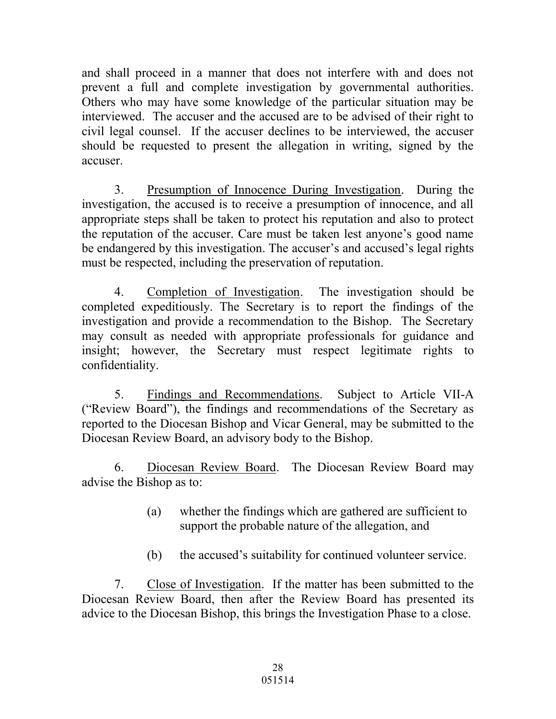and shall proceed in a manner that does not interfere with and does not prevent a full and complete investigation by governmental authorities. Others who may have some knowledge of the particular situation may be interviewed. The accuser and the accused are to be advised of their right to civil legal counsel. If the accuser declines to be interviewed, the accuser should be requested to present the allegation in writing, signed by the accuser.

3. Presumption of Innocence During Investigation. During the investigation, the accused is to receive a presumption of innocence, and all appropriate steps shall be taken to protect his reputation and also to protect the reputation of the accuser. Care must be taken lest anyone's good name be endangered by this investigation. The accuser's and accused's legal rights must be respected, including the preservation of reputation.

4. Completion of Investigation. The investigation should be completed expeditiously. The Secretary is to report the findings of the investigation and provide a recommendation to the Bishop. The Secretary may consult as needed with appropriate professionals for guidance and insight; however, the Secretary must respect legitimate rights to confidentiality.

5. Findings and Recommendations. Subject to Article VII-A ("Review Board"), the findings and recommendations of the Secretary as reported to the Diocesan Bishop and Vicar General, may be submitted to the Diocesan Review Board, an advisory body to the Bishop.

6. Diocesan Review Board. The Diocesan Review Board may advise the Bishop as to:

- (a) whether the findings which are gathered are sufficient to support the probable nature of the allegation, and
- (b) the accused's suitability for continued volunteer service.

7. Close of Investigation. If the matter has been submitted to the Diocesan Review Board, then after the Review Board has presented its advice to the Diocesan Bishop, this brings the Investigation Phase to a close.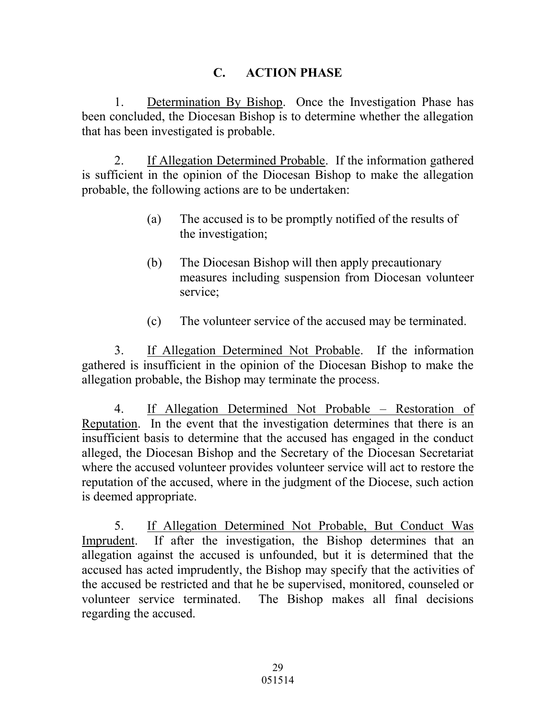# **C. ACTION PHASE**

1. Determination By Bishop. Once the Investigation Phase has been concluded, the Diocesan Bishop is to determine whether the allegation that has been investigated is probable.

2. If Allegation Determined Probable. If the information gathered is sufficient in the opinion of the Diocesan Bishop to make the allegation probable, the following actions are to be undertaken:

- (a) The accused is to be promptly notified of the results of the investigation;
- (b) The Diocesan Bishop will then apply precautionary measures including suspension from Diocesan volunteer service;
- (c) The volunteer service of the accused may be terminated.

3. If Allegation Determined Not Probable. If the information gathered is insufficient in the opinion of the Diocesan Bishop to make the allegation probable, the Bishop may terminate the process.

4. If Allegation Determined Not Probable – Restoration of Reputation. In the event that the investigation determines that there is an insufficient basis to determine that the accused has engaged in the conduct alleged, the Diocesan Bishop and the Secretary of the Diocesan Secretariat where the accused volunteer provides volunteer service will act to restore the reputation of the accused, where in the judgment of the Diocese, such action is deemed appropriate.

5. If Allegation Determined Not Probable, But Conduct Was Imprudent. If after the investigation, the Bishop determines that an allegation against the accused is unfounded, but it is determined that the accused has acted imprudently, the Bishop may specify that the activities of the accused be restricted and that he be supervised, monitored, counseled or volunteer service terminated. The Bishop makes all final decisions regarding the accused.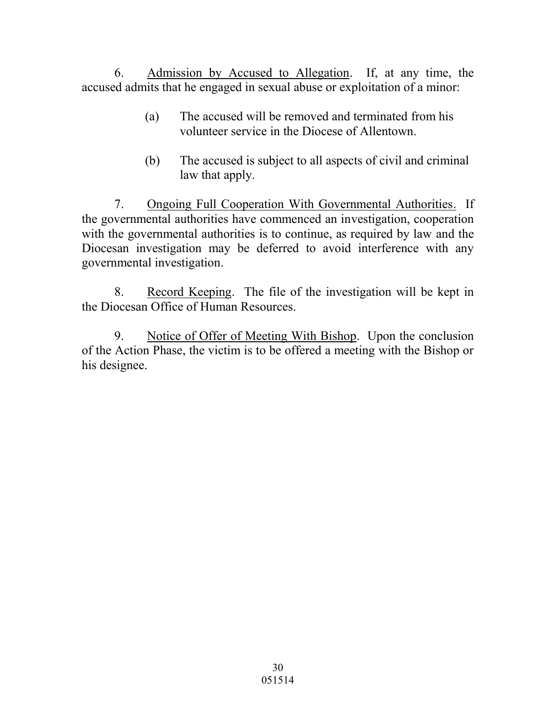6. Admission by Accused to Allegation. If, at any time, the accused admits that he engaged in sexual abuse or exploitation of a minor:

- (a) The accused will be removed and terminated from his volunteer service in the Diocese of Allentown.
- (b) The accused is subject to all aspects of civil and criminal law that apply.

7. Ongoing Full Cooperation With Governmental Authorities. If the governmental authorities have commenced an investigation, cooperation with the governmental authorities is to continue, as required by law and the Diocesan investigation may be deferred to avoid interference with any governmental investigation.

8. Record Keeping. The file of the investigation will be kept in the Diocesan Office of Human Resources.

9. Notice of Offer of Meeting With Bishop. Upon the conclusion of the Action Phase, the victim is to be offered a meeting with the Bishop or his designee.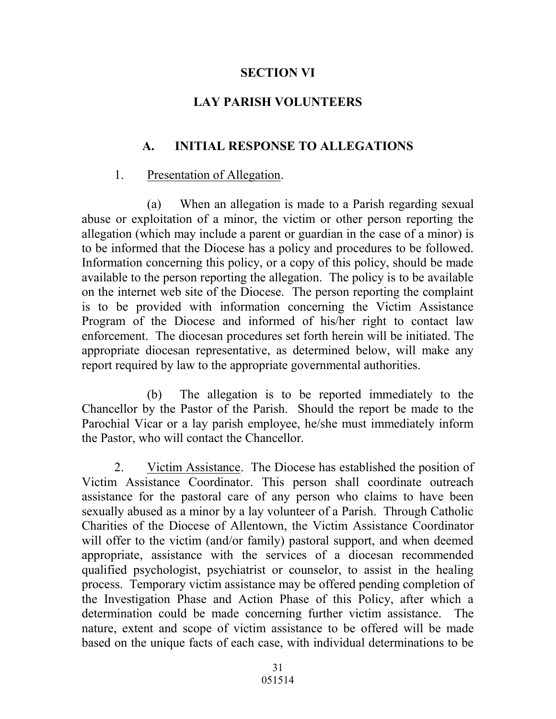### **SECTION VI**

### **LAY PARISH VOLUNTEERS**

### **A. INITIAL RESPONSE TO ALLEGATIONS**

#### 1. Presentation of Allegation.

(a) When an allegation is made to a Parish regarding sexual abuse or exploitation of a minor, the victim or other person reporting the allegation (which may include a parent or guardian in the case of a minor) is to be informed that the Diocese has a policy and procedures to be followed. Information concerning this policy, or a copy of this policy, should be made available to the person reporting the allegation. The policy is to be available on the internet web site of the Diocese. The person reporting the complaint is to be provided with information concerning the Victim Assistance Program of the Diocese and informed of his/her right to contact law enforcement. The diocesan procedures set forth herein will be initiated. The appropriate diocesan representative, as determined below, will make any report required by law to the appropriate governmental authorities.

 (b) The allegation is to be reported immediately to the Chancellor by the Pastor of the Parish. Should the report be made to the Parochial Vicar or a lay parish employee, he/she must immediately inform the Pastor, who will contact the Chancellor.

2. Victim Assistance. The Diocese has established the position of Victim Assistance Coordinator. This person shall coordinate outreach assistance for the pastoral care of any person who claims to have been sexually abused as a minor by a lay volunteer of a Parish. Through Catholic Charities of the Diocese of Allentown, the Victim Assistance Coordinator will offer to the victim (and/or family) pastoral support, and when deemed appropriate, assistance with the services of a diocesan recommended qualified psychologist, psychiatrist or counselor, to assist in the healing process. Temporary victim assistance may be offered pending completion of the Investigation Phase and Action Phase of this Policy, after which a determination could be made concerning further victim assistance. The nature, extent and scope of victim assistance to be offered will be made based on the unique facts of each case, with individual determinations to be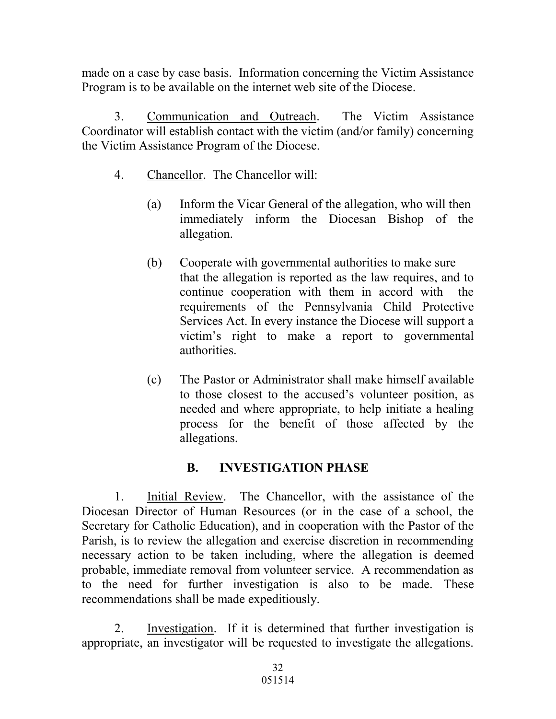made on a case by case basis. Information concerning the Victim Assistance Program is to be available on the internet web site of the Diocese.

3. Communication and Outreach. The Victim Assistance Coordinator will establish contact with the victim (and/or family) concerning the Victim Assistance Program of the Diocese.

- 4. Chancellor. The Chancellor will:
	- (a) Inform the Vicar General of the allegation, who will then immediately inform the Diocesan Bishop of the allegation.
	- (b) Cooperate with governmental authorities to make sure that the allegation is reported as the law requires, and to continue cooperation with them in accord with the requirements of the Pennsylvania Child Protective Services Act. In every instance the Diocese will support a victim's right to make a report to governmental authorities.
	- (c) The Pastor or Administrator shall make himself available to those closest to the accused's volunteer position, as needed and where appropriate, to help initiate a healing process for the benefit of those affected by the allegations.

# **B. INVESTIGATION PHASE**

1. Initial Review. The Chancellor, with the assistance of the Diocesan Director of Human Resources (or in the case of a school, the Secretary for Catholic Education), and in cooperation with the Pastor of the Parish, is to review the allegation and exercise discretion in recommending necessary action to be taken including, where the allegation is deemed probable, immediate removal from volunteer service. A recommendation as to the need for further investigation is also to be made. These recommendations shall be made expeditiously.

2. Investigation. If it is determined that further investigation is appropriate, an investigator will be requested to investigate the allegations.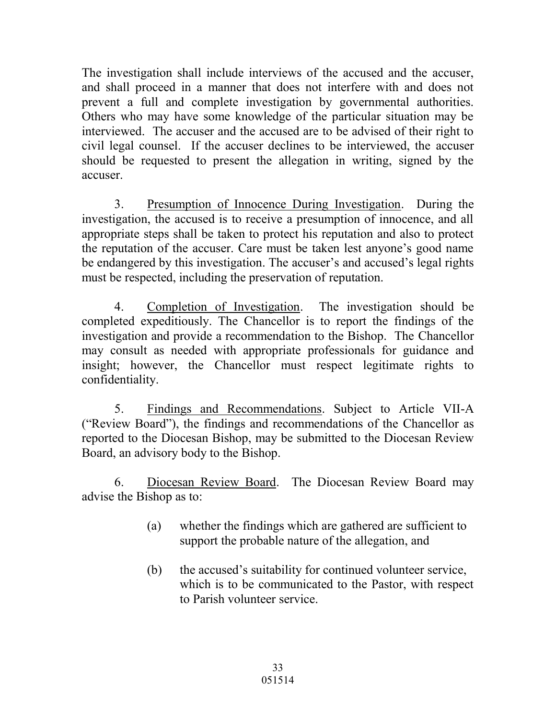The investigation shall include interviews of the accused and the accuser, and shall proceed in a manner that does not interfere with and does not prevent a full and complete investigation by governmental authorities. Others who may have some knowledge of the particular situation may be interviewed. The accuser and the accused are to be advised of their right to civil legal counsel. If the accuser declines to be interviewed, the accuser should be requested to present the allegation in writing, signed by the accuser.

3. Presumption of Innocence During Investigation. During the investigation, the accused is to receive a presumption of innocence, and all appropriate steps shall be taken to protect his reputation and also to protect the reputation of the accuser. Care must be taken lest anyone's good name be endangered by this investigation. The accuser's and accused's legal rights must be respected, including the preservation of reputation.

4. Completion of Investigation. The investigation should be completed expeditiously. The Chancellor is to report the findings of the investigation and provide a recommendation to the Bishop. The Chancellor may consult as needed with appropriate professionals for guidance and insight; however, the Chancellor must respect legitimate rights to confidentiality.

5. Findings and Recommendations. Subject to Article VII-A ("Review Board"), the findings and recommendations of the Chancellor as reported to the Diocesan Bishop, may be submitted to the Diocesan Review Board, an advisory body to the Bishop.

6. Diocesan Review Board. The Diocesan Review Board may advise the Bishop as to:

- (a) whether the findings which are gathered are sufficient to support the probable nature of the allegation, and
- (b) the accused's suitability for continued volunteer service, which is to be communicated to the Pastor, with respect to Parish volunteer service.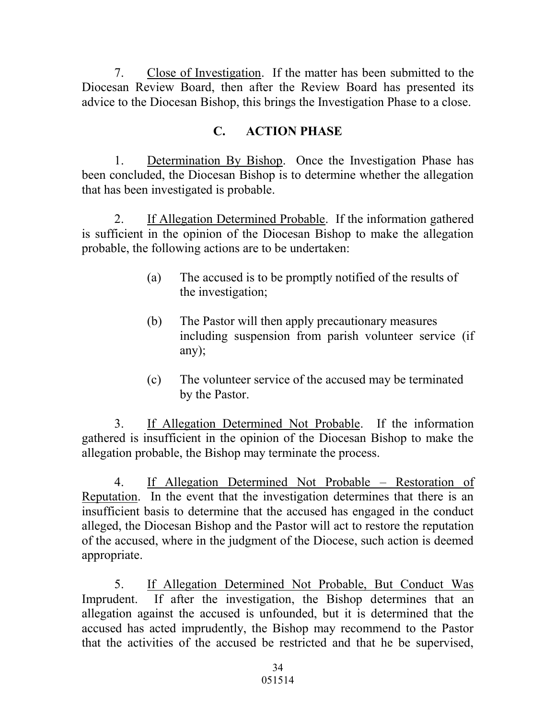7. Close of Investigation. If the matter has been submitted to the Diocesan Review Board, then after the Review Board has presented its advice to the Diocesan Bishop, this brings the Investigation Phase to a close.

# **C. ACTION PHASE**

1. Determination By Bishop. Once the Investigation Phase has been concluded, the Diocesan Bishop is to determine whether the allegation that has been investigated is probable.

2. If Allegation Determined Probable. If the information gathered is sufficient in the opinion of the Diocesan Bishop to make the allegation probable, the following actions are to be undertaken:

- (a) The accused is to be promptly notified of the results of the investigation;
- (b) The Pastor will then apply precautionary measures including suspension from parish volunteer service (if any);
- (c) The volunteer service of the accused may be terminated by the Pastor.

3. If Allegation Determined Not Probable. If the information gathered is insufficient in the opinion of the Diocesan Bishop to make the allegation probable, the Bishop may terminate the process.

4. If Allegation Determined Not Probable – Restoration of Reputation. In the event that the investigation determines that there is an insufficient basis to determine that the accused has engaged in the conduct alleged, the Diocesan Bishop and the Pastor will act to restore the reputation of the accused, where in the judgment of the Diocese, such action is deemed appropriate.

5. If Allegation Determined Not Probable, But Conduct Was Imprudent. If after the investigation, the Bishop determines that an allegation against the accused is unfounded, but it is determined that the accused has acted imprudently, the Bishop may recommend to the Pastor that the activities of the accused be restricted and that he be supervised,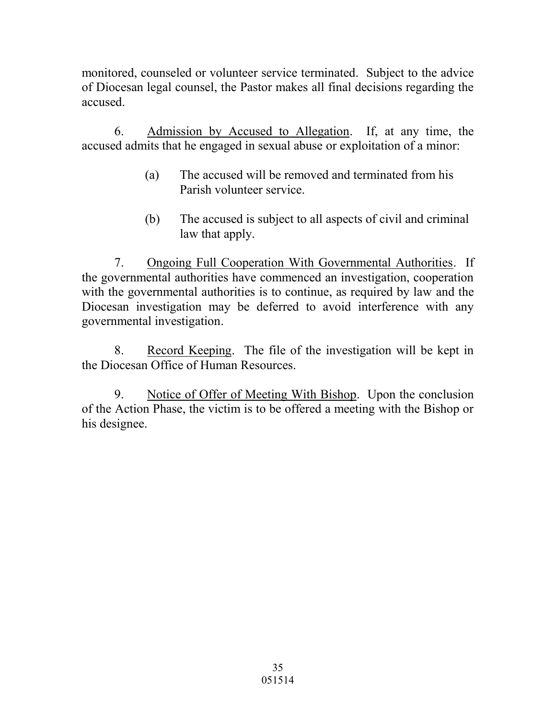monitored, counseled or volunteer service terminated. Subject to the advice of Diocesan legal counsel, the Pastor makes all final decisions regarding the accused.

6. Admission by Accused to Allegation. If, at any time, the accused admits that he engaged in sexual abuse or exploitation of a minor:

- (a) The accused will be removed and terminated from his Parish volunteer service.
- (b) The accused is subject to all aspects of civil and criminal law that apply.

7. Ongoing Full Cooperation With Governmental Authorities. If the governmental authorities have commenced an investigation, cooperation with the governmental authorities is to continue, as required by law and the Diocesan investigation may be deferred to avoid interference with any governmental investigation.

8. Record Keeping. The file of the investigation will be kept in the Diocesan Office of Human Resources.

9. Notice of Offer of Meeting With Bishop. Upon the conclusion of the Action Phase, the victim is to be offered a meeting with the Bishop or his designee.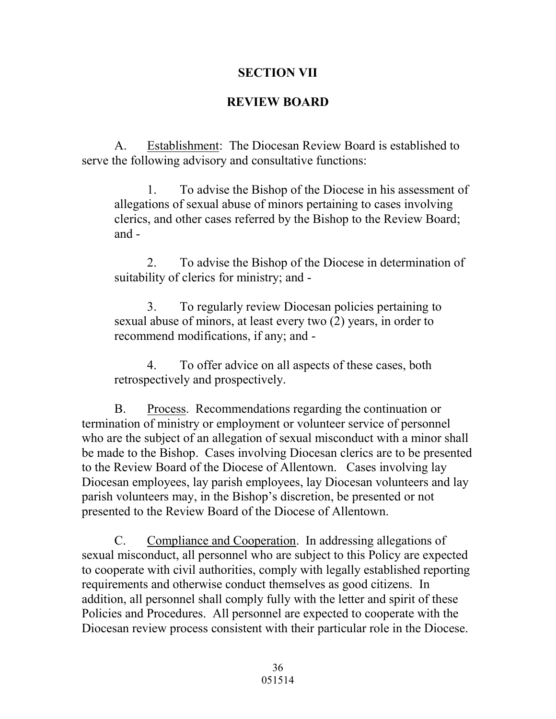#### **SECTION VII**

#### **REVIEW BOARD**

A. Establishment: The Diocesan Review Board is established to serve the following advisory and consultative functions:

1. To advise the Bishop of the Diocese in his assessment of allegations of sexual abuse of minors pertaining to cases involving clerics, and other cases referred by the Bishop to the Review Board; and -

2. To advise the Bishop of the Diocese in determination of suitability of clerics for ministry; and -

3. To regularly review Diocesan policies pertaining to sexual abuse of minors, at least every two (2) years, in order to recommend modifications, if any; and -

4. To offer advice on all aspects of these cases, both retrospectively and prospectively.

B. Process. Recommendations regarding the continuation or termination of ministry or employment or volunteer service of personnel who are the subject of an allegation of sexual misconduct with a minor shall be made to the Bishop. Cases involving Diocesan clerics are to be presented to the Review Board of the Diocese of Allentown. Cases involving lay Diocesan employees, lay parish employees, lay Diocesan volunteers and lay parish volunteers may, in the Bishop's discretion, be presented or not presented to the Review Board of the Diocese of Allentown.

 C. Compliance and Cooperation. In addressing allegations of sexual misconduct, all personnel who are subject to this Policy are expected to cooperate with civil authorities, comply with legally established reporting requirements and otherwise conduct themselves as good citizens. In addition, all personnel shall comply fully with the letter and spirit of these Policies and Procedures. All personnel are expected to cooperate with the Diocesan review process consistent with their particular role in the Diocese.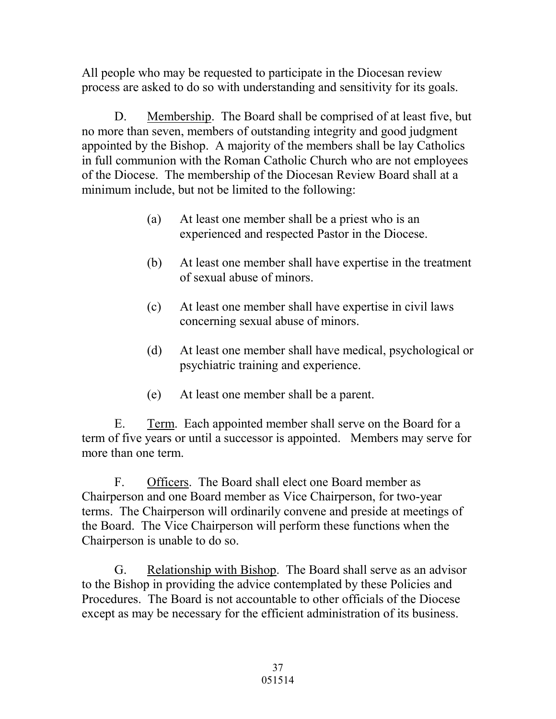All people who may be requested to participate in the Diocesan review process are asked to do so with understanding and sensitivity for its goals.

 D. Membership. The Board shall be comprised of at least five, but no more than seven, members of outstanding integrity and good judgment appointed by the Bishop. A majority of the members shall be lay Catholics in full communion with the Roman Catholic Church who are not employees of the Diocese. The membership of the Diocesan Review Board shall at a minimum include, but not be limited to the following:

- (a) At least one member shall be a priest who is an experienced and respected Pastor in the Diocese.
- (b) At least one member shall have expertise in the treatment of sexual abuse of minors.
- (c) At least one member shall have expertise in civil laws concerning sexual abuse of minors.
- (d) At least one member shall have medical, psychological or psychiatric training and experience.
- (e) At least one member shall be a parent.

 E. Term. Each appointed member shall serve on the Board for a term of five years or until a successor is appointed. Members may serve for more than one term.

 F. Officers. The Board shall elect one Board member as Chairperson and one Board member as Vice Chairperson, for two-year terms. The Chairperson will ordinarily convene and preside at meetings of the Board. The Vice Chairperson will perform these functions when the Chairperson is unable to do so.

 G. Relationship with Bishop. The Board shall serve as an advisor to the Bishop in providing the advice contemplated by these Policies and Procedures. The Board is not accountable to other officials of the Diocese except as may be necessary for the efficient administration of its business.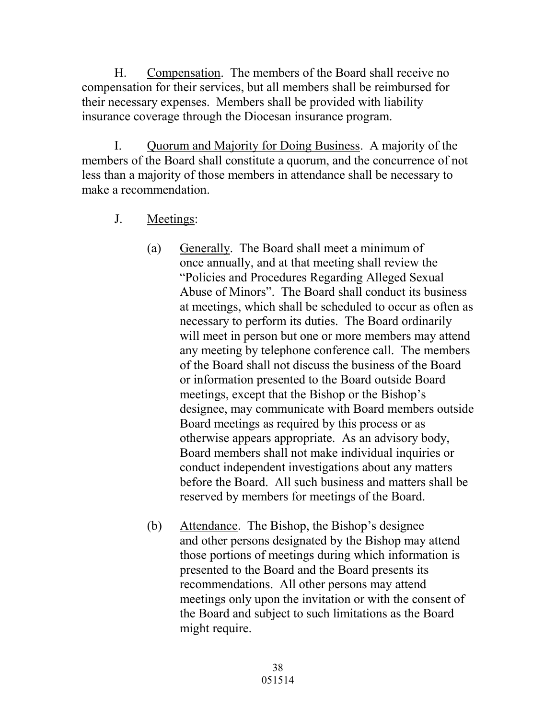H. Compensation. The members of the Board shall receive no compensation for their services, but all members shall be reimbursed for their necessary expenses. Members shall be provided with liability insurance coverage through the Diocesan insurance program.

 I. Quorum and Majority for Doing Business. A majority of the members of the Board shall constitute a quorum, and the concurrence of not less than a majority of those members in attendance shall be necessary to make a recommendation.

- J. Meetings:
	- (a) Generally. The Board shall meet a minimum of once annually, and at that meeting shall review the "Policies and Procedures Regarding Alleged Sexual Abuse of Minors". The Board shall conduct its business at meetings, which shall be scheduled to occur as often as necessary to perform its duties. The Board ordinarily will meet in person but one or more members may attend any meeting by telephone conference call. The members of the Board shall not discuss the business of the Board or information presented to the Board outside Board meetings, except that the Bishop or the Bishop's designee, may communicate with Board members outside Board meetings as required by this process or as otherwise appears appropriate. As an advisory body, Board members shall not make individual inquiries or conduct independent investigations about any matters before the Board. All such business and matters shall be reserved by members for meetings of the Board.
	- (b) Attendance. The Bishop, the Bishop's designee and other persons designated by the Bishop may attend those portions of meetings during which information is presented to the Board and the Board presents its recommendations. All other persons may attend meetings only upon the invitation or with the consent of the Board and subject to such limitations as the Board might require.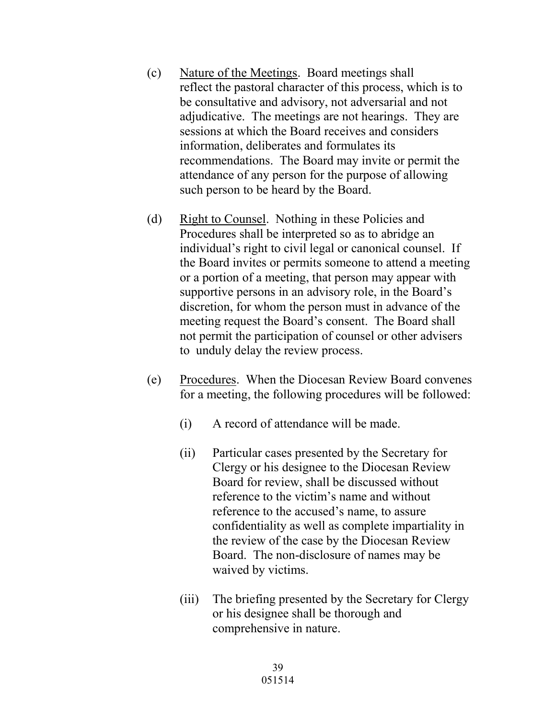- (c) Nature of the Meetings. Board meetings shall reflect the pastoral character of this process, which is to be consultative and advisory, not adversarial and not adjudicative. The meetings are not hearings. They are sessions at which the Board receives and considers information, deliberates and formulates its recommendations. The Board may invite or permit the attendance of any person for the purpose of allowing such person to be heard by the Board.
- (d) Right to Counsel. Nothing in these Policies and Procedures shall be interpreted so as to abridge an individual's right to civil legal or canonical counsel. If the Board invites or permits someone to attend a meeting or a portion of a meeting, that person may appear with supportive persons in an advisory role, in the Board's discretion, for whom the person must in advance of the meeting request the Board's consent. The Board shall not permit the participation of counsel or other advisers to unduly delay the review process.
- (e) Procedures. When the Diocesan Review Board convenes for a meeting, the following procedures will be followed:
	- (i) A record of attendance will be made.
	- (ii) Particular cases presented by the Secretary for Clergy or his designee to the Diocesan Review Board for review, shall be discussed without reference to the victim's name and without reference to the accused's name, to assure confidentiality as well as complete impartiality in the review of the case by the Diocesan Review Board. The non-disclosure of names may be waived by victims.
	- (iii) The briefing presented by the Secretary for Clergy or his designee shall be thorough and comprehensive in nature.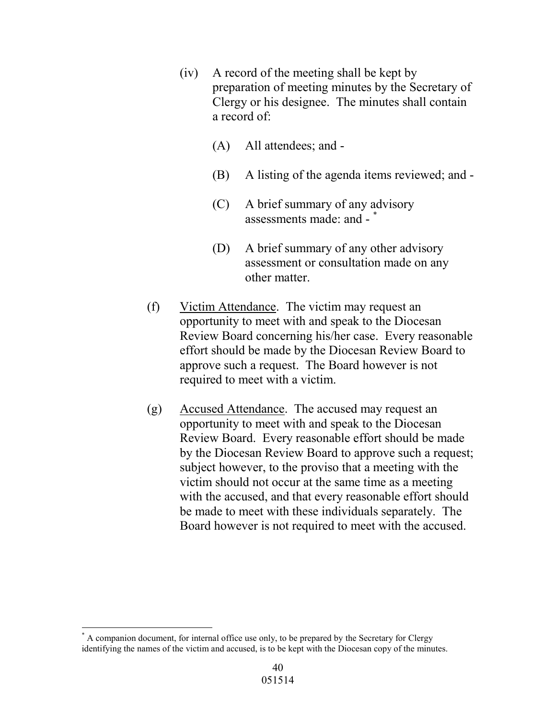- (iv) A record of the meeting shall be kept by preparation of meeting minutes by the Secretary of Clergy or his designee. The minutes shall contain a record of:
	- (A) All attendees; and -
	- (B) A listing of the agenda items reviewed; and -
	- (C) A brief summary of any advisory assessments made: and - \*
	- (D) A brief summary of any other advisory assessment or consultation made on any other matter.
- (f) Victim Attendance. The victim may request an opportunity to meet with and speak to the Diocesan Review Board concerning his/her case. Every reasonable effort should be made by the Diocesan Review Board to approve such a request. The Board however is not required to meet with a victim.
- (g) Accused Attendance. The accused may request an opportunity to meet with and speak to the Diocesan Review Board. Every reasonable effort should be made by the Diocesan Review Board to approve such a request; subject however, to the proviso that a meeting with the victim should not occur at the same time as a meeting with the accused, and that every reasonable effort should be made to meet with these individuals separately. The Board however is not required to meet with the accused.

 $\overline{a}$ \* A companion document, for internal office use only, to be prepared by the Secretary for Clergy identifying the names of the victim and accused, is to be kept with the Diocesan copy of the minutes.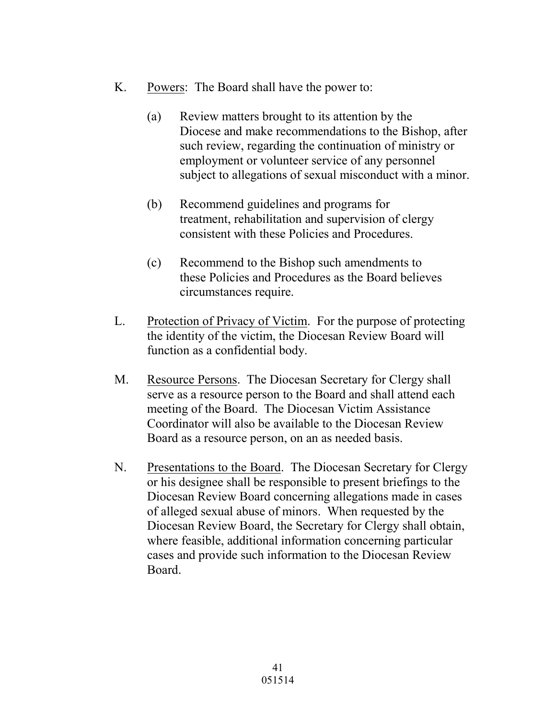- K. Powers: The Board shall have the power to:
	- (a) Review matters brought to its attention by the Diocese and make recommendations to the Bishop, after such review, regarding the continuation of ministry or employment or volunteer service of any personnel subject to allegations of sexual misconduct with a minor.
	- (b) Recommend guidelines and programs for treatment, rehabilitation and supervision of clergy consistent with these Policies and Procedures.
	- (c) Recommend to the Bishop such amendments to these Policies and Procedures as the Board believes circumstances require.
- L. Protection of Privacy of Victim. For the purpose of protecting the identity of the victim, the Diocesan Review Board will function as a confidential body.
- M. Resource Persons. The Diocesan Secretary for Clergy shall serve as a resource person to the Board and shall attend each meeting of the Board. The Diocesan Victim Assistance Coordinator will also be available to the Diocesan Review Board as a resource person, on an as needed basis.
- N. Presentations to the Board. The Diocesan Secretary for Clergy or his designee shall be responsible to present briefings to the Diocesan Review Board concerning allegations made in cases of alleged sexual abuse of minors. When requested by the Diocesan Review Board, the Secretary for Clergy shall obtain, where feasible, additional information concerning particular cases and provide such information to the Diocesan Review Board.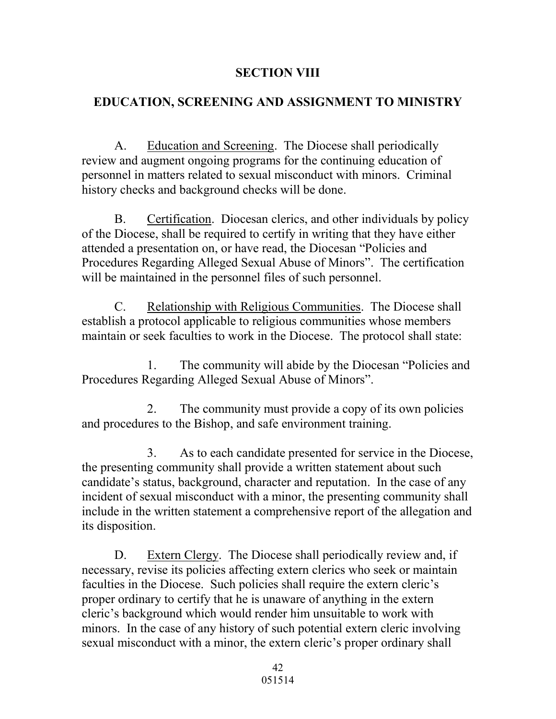### **SECTION VIII**

### **EDUCATION, SCREENING AND ASSIGNMENT TO MINISTRY**

A. Education and Screening. The Diocese shall periodically review and augment ongoing programs for the continuing education of personnel in matters related to sexual misconduct with minors. Criminal history checks and background checks will be done.

B. Certification. Diocesan clerics, and other individuals by policy of the Diocese, shall be required to certify in writing that they have either attended a presentation on, or have read, the Diocesan "Policies and Procedures Regarding Alleged Sexual Abuse of Minors". The certification will be maintained in the personnel files of such personnel.

C. Relationship with Religious Communities. The Diocese shall establish a protocol applicable to religious communities whose members maintain or seek faculties to work in the Diocese. The protocol shall state:

 1. The community will abide by the Diocesan "Policies and Procedures Regarding Alleged Sexual Abuse of Minors".

 2. The community must provide a copy of its own policies and procedures to the Bishop, and safe environment training.

 3. As to each candidate presented for service in the Diocese, the presenting community shall provide a written statement about such candidate's status, background, character and reputation. In the case of any incident of sexual misconduct with a minor, the presenting community shall include in the written statement a comprehensive report of the allegation and its disposition.

D. Extern Clergy. The Diocese shall periodically review and, if necessary, revise its policies affecting extern clerics who seek or maintain faculties in the Diocese. Such policies shall require the extern cleric's proper ordinary to certify that he is unaware of anything in the extern cleric's background which would render him unsuitable to work with minors. In the case of any history of such potential extern cleric involving sexual misconduct with a minor, the extern cleric's proper ordinary shall